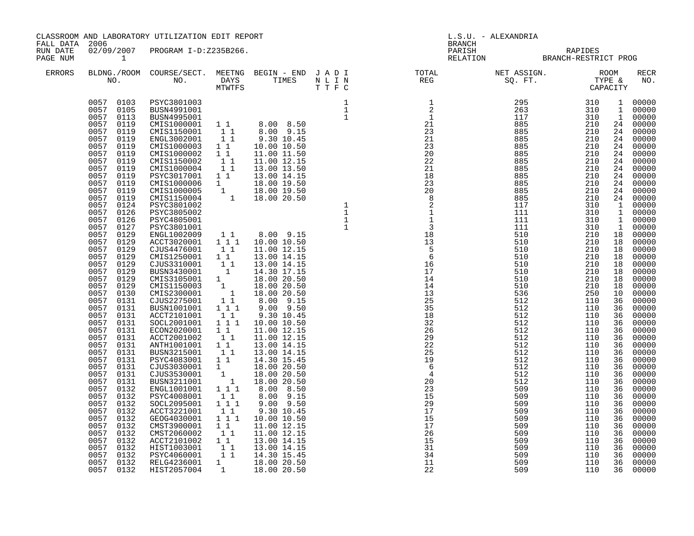|                                                  |                                                        | CLASSROOM AND LABORATORY UTILIZATION EDIT REPORT                        |              |                                                                                        |                                                                                                                                                                                                                                                                                                                                                                                                                                                |                                                 |                          |                                                                                                                                                                                                                                    |                                                                                                                                                                                                                                                                                                                                                                                                                                                                                                                    |
|--------------------------------------------------|--------------------------------------------------------|-------------------------------------------------------------------------|--------------|----------------------------------------------------------------------------------------|------------------------------------------------------------------------------------------------------------------------------------------------------------------------------------------------------------------------------------------------------------------------------------------------------------------------------------------------------------------------------------------------------------------------------------------------|-------------------------------------------------|--------------------------|------------------------------------------------------------------------------------------------------------------------------------------------------------------------------------------------------------------------------------|--------------------------------------------------------------------------------------------------------------------------------------------------------------------------------------------------------------------------------------------------------------------------------------------------------------------------------------------------------------------------------------------------------------------------------------------------------------------------------------------------------------------|
| FALL DATA 2006<br>RUN DATE<br>PAGE NUM<br>ERRORS |                                                        |                                                                         |              |                                                                                        |                                                                                                                                                                                                                                                                                                                                                                                                                                                | PARISH RAPIDES<br>RELATION BRANCH-RESTRICT PROG |                          |                                                                                                                                                                                                                                    |                                                                                                                                                                                                                                                                                                                                                                                                                                                                                                                    |
|                                                  |                                                        |                                                                         |              |                                                                                        | $\begin{tabular}{lllllllllllllllllllll} \textsc{BLONG.} \textsc{F100M.} & \textsc{COURSE/SECT.} & \textsc{METNG.} & \textsc{BEGIN - END.} & \textsc{J A D I} & \textsc{DTATM E} & \textsc{NET ASSIGN.} & \textsc{ROOM} \\ \textsc{NO.} & \textsc{NO.} & \textsc{DAYS} & \textsc{TIMES} & \textsc{N L I N} & \textsc{REG} & \textsc{SEG} & \textsc{ST.} & \textsc{STF.} & \textsc{CTPACITY} \\ & \textsc{MTVTFS} & \textsc{T T F C} & \textsc{$ |                                                 |                          |                                                                                                                                                                                                                                    | RECR<br>NO.                                                                                                                                                                                                                                                                                                                                                                                                                                                                                                        |
|                                                  | 0057<br>0132<br>0057<br>0132<br>0057 0132<br>0057 0132 | ACCT2101002<br>HIST1003001<br>PSYC4060001<br>RELG4236001<br>HIST2057004 | 11<br>1<br>1 | 13.00 14.15<br>$\overline{1}$ $\overline{1}$ 14.30 15.45<br>18.00 20.50<br>18.00 20.50 | $18\,326$<br>$22\,25$<br>$22\,25$<br>$19\,6\,4$<br>$4\,0$<br>$23\,35$<br>$15\,29\,7$<br>$15\,29$<br>$15\,29$<br>$15\,17$<br>$26\,15$<br>$14\,12$                                                                                                                                                                                                                                                                                               | 509<br>509<br>509<br>509                        | 110<br>110<br>110<br>110 | $\mathbf{1}$<br>$\mathbf{1}$<br>24<br>24<br>24<br>18<br>18<br>18<br>18<br>18<br>18<br>10<br>36<br>36<br>36<br>36<br>36<br>36<br>36<br>36<br>36<br>36<br>36<br>36<br>36<br>36<br>36<br>36<br>36<br>36<br>36<br>36<br>36<br>36<br>36 | 1 00000<br>00000<br>00000<br>24 00000<br>24 00000<br>00000<br>24 00000<br>24 00000<br>24 00000<br>00000<br>00000<br>24 00000<br>24 00000<br>24 00000<br>1 00000<br>1 00000<br>1 00000<br>1 00000<br>18 00000<br>18 00000<br>00000<br>00000<br>00000<br>00000<br>00000<br>00000<br>00000<br>00000<br>00000<br>00000<br>00000<br>00000<br>00000<br>00000<br>00000<br>00000<br>00000<br>00000<br>00000<br>00000<br>00000<br>00000<br>00000<br>00000<br>00000<br>00000<br>00000<br>00000<br>00000<br>00000<br>36 00000 |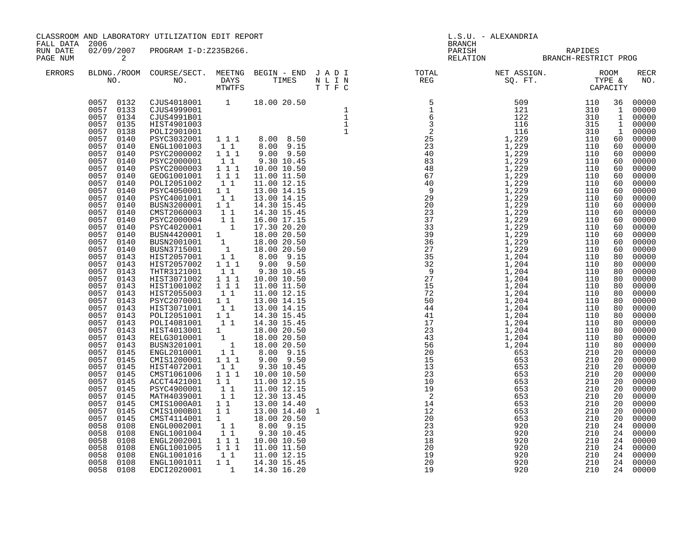| FALL DATA 2006       |                         |                                  | CLASSROOM AND LABORATORY UTILIZATION EDIT REPORT |  |  | <b>BRANCH</b>                                                                                                                                                                                                                                                                                                                                                                                                                                                                                                                                                          | L.S.U. - ALEXANDRIA                             |  |                    |
|----------------------|-------------------------|----------------------------------|--------------------------------------------------|--|--|------------------------------------------------------------------------------------------------------------------------------------------------------------------------------------------------------------------------------------------------------------------------------------------------------------------------------------------------------------------------------------------------------------------------------------------------------------------------------------------------------------------------------------------------------------------------|-------------------------------------------------|--|--------------------|
| RUN DATE<br>PAGE NUM | $\overline{\mathbf{c}}$ | 02/09/2007 PROGRAM I-D:Z235B266. |                                                  |  |  |                                                                                                                                                                                                                                                                                                                                                                                                                                                                                                                                                                        | PARISH RAPIDES<br>RELATION BRANCH-RESTRICT PROG |  |                    |
| ERRORS               |                         |                                  |                                                  |  |  |                                                                                                                                                                                                                                                                                                                                                                                                                                                                                                                                                                        |                                                 |  | <b>RECR</b><br>NO. |
|                      |                         |                                  |                                                  |  |  | $\begin{smallmatrix} \textbf{0.13} \end{smallmatrix} \begin{smallmatrix} \textbf{0.23} \end{smallmatrix} \begin{smallmatrix} \textbf{0.34} \end{smallmatrix} \begin{smallmatrix} \textbf{0.44} \end{smallmatrix} \begin{smallmatrix} \textbf{0.45} \end{smallmatrix} \begin{smallmatrix} \textbf{0.45} \end{smallmatrix} \begin{smallmatrix} \textbf{0.45} \end{smallmatrix} \begin{smallmatrix} \textbf{0.45} \end{smallmatrix} \begin{smallmatrix} \textbf{0.45} \end{smallmatrix} \begin{smallmatrix} \textbf{0.45} \end{smallmatrix} \begin{smallmatrix} \textbf{$ |                                                 |  |                    |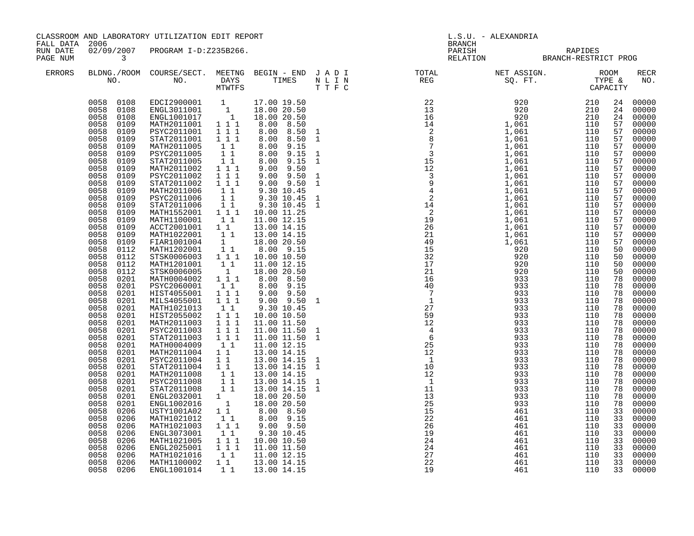| FALL DATA 2006       |                                                                                                                                                                                                                                                                                                                                                                                                                                                                                                                                                                                                                                                                                                                                                                                     | CLASSROOM AND LABORATORY UTILIZATION EDIT REPORT                                                                                                                                                                                                                                                                                                                                                                                                                                                                                                                                                                                                                                                                                                                                                                                                                                                                                                                                                                                                                                   |                                                                                                                                                                                                                                                                                                                                                                                                                                                                                            |                                                                                                                                                                                                                                                                                                                                                                                                                                                                                                                                                                                                                                      | L.S.U. - ALEXANDRIA<br><b>BRANCH</b> |                                                 |  |                                                                                                                                                                                                                                                                                                                                    |                                                                                                                                                                                                                                                                                                                                                                                                                                                                            |
|----------------------|-------------------------------------------------------------------------------------------------------------------------------------------------------------------------------------------------------------------------------------------------------------------------------------------------------------------------------------------------------------------------------------------------------------------------------------------------------------------------------------------------------------------------------------------------------------------------------------------------------------------------------------------------------------------------------------------------------------------------------------------------------------------------------------|------------------------------------------------------------------------------------------------------------------------------------------------------------------------------------------------------------------------------------------------------------------------------------------------------------------------------------------------------------------------------------------------------------------------------------------------------------------------------------------------------------------------------------------------------------------------------------------------------------------------------------------------------------------------------------------------------------------------------------------------------------------------------------------------------------------------------------------------------------------------------------------------------------------------------------------------------------------------------------------------------------------------------------------------------------------------------------|--------------------------------------------------------------------------------------------------------------------------------------------------------------------------------------------------------------------------------------------------------------------------------------------------------------------------------------------------------------------------------------------------------------------------------------------------------------------------------------------|--------------------------------------------------------------------------------------------------------------------------------------------------------------------------------------------------------------------------------------------------------------------------------------------------------------------------------------------------------------------------------------------------------------------------------------------------------------------------------------------------------------------------------------------------------------------------------------------------------------------------------------|--------------------------------------|-------------------------------------------------|--|------------------------------------------------------------------------------------------------------------------------------------------------------------------------------------------------------------------------------------------------------------------------------------------------------------------------------------|----------------------------------------------------------------------------------------------------------------------------------------------------------------------------------------------------------------------------------------------------------------------------------------------------------------------------------------------------------------------------------------------------------------------------------------------------------------------------|
| RUN DATE<br>PAGE NUM | $\overline{\mathbf{3}}$                                                                                                                                                                                                                                                                                                                                                                                                                                                                                                                                                                                                                                                                                                                                                             | 02/09/2007 PROGRAM I-D:Z235B266.                                                                                                                                                                                                                                                                                                                                                                                                                                                                                                                                                                                                                                                                                                                                                                                                                                                                                                                                                                                                                                                   |                                                                                                                                                                                                                                                                                                                                                                                                                                                                                            |                                                                                                                                                                                                                                                                                                                                                                                                                                                                                                                                                                                                                                      |                                      | PARISH RAPIDES<br>RELATION BRANCH-RESTRICT PROG |  |                                                                                                                                                                                                                                                                                                                                    |                                                                                                                                                                                                                                                                                                                                                                                                                                                                            |
| <b>ERRORS</b>        |                                                                                                                                                                                                                                                                                                                                                                                                                                                                                                                                                                                                                                                                                                                                                                                     |                                                                                                                                                                                                                                                                                                                                                                                                                                                                                                                                                                                                                                                                                                                                                                                                                                                                                                                                                                                                                                                                                    |                                                                                                                                                                                                                                                                                                                                                                                                                                                                                            |                                                                                                                                                                                                                                                                                                                                                                                                                                                                                                                                                                                                                                      |                                      |                                                 |  |                                                                                                                                                                                                                                                                                                                                    | <b>RECR</b><br>NO.                                                                                                                                                                                                                                                                                                                                                                                                                                                         |
|                      | 0058 0108<br>0058 0108<br>0058 0108<br>0058<br>0109<br>0058<br>0109<br>0058<br>0109<br>0058<br>0109<br>0058 0109<br>0058<br>0109<br>0058 0109<br>0058<br>0109<br>0058 0109<br>0058<br>0109<br>0058 0109<br>0058<br>0109<br>0058<br>0109<br>0058<br>0109<br>0058<br>0109<br>0058<br>0109<br>0058<br>0109<br>0058<br>0112<br>0058<br>0112<br>0058 0112<br>0058 0112<br>0058 0201<br>0058 0201<br>0058 0201<br>0058 0201<br>0058 0201<br>0058<br>0201<br>0058 0201<br>0058 0201<br>0058<br>0201<br>0058<br>0201<br>0058<br>0201<br>0058<br>0201<br>0058<br>0201<br>0058<br>0201<br>0058<br>0201<br>0058<br>0201<br>0058<br>0201<br>0058<br>0201<br>0058<br>0206<br>0058 0206<br>0058<br>0206<br>0058<br>0206<br>0058<br>0206<br>0058<br>0206<br>0058<br>0206<br>0058 0206<br>0058 0206 | EDCI2900001 1 17.00 19.50<br>ENGL3011001 1 18.00 20.50<br>ENGL1001017 1 18.00 20.50<br>MATH2011001 1 1 1 8.00 8.50<br>PSYC2011001<br>STAT2011001<br>MATH2011005<br>PSYC2011005<br>STAT2011005<br>MATH2011002<br>PSYC2011002<br>STAT2011002<br>MATH2011006<br>PSYC2011006<br>STAT2011006<br>MATH1552001 111<br>MATH1100001 1 1<br>ACCT2001001 1 1<br>MATH1022001<br>$\begin{tabular}{lcccccc} \texttt{FIAR1001004} & & 1 & & 18.00 & 20.50 \\ \texttt{MATH1202001} & & 1 & 1 & 8.00 & 9.15 \\ \texttt{STSK0006003} & & 1 & 1 & 10.00 & 10.50 \\ \end{tabular}$<br>MATH1201001<br>STSK0006005<br>MATH0004002<br>PSYC2060001<br>HIST4055001<br>MILS4055001<br>MATH1021013<br>HIST2055002<br>MATH2011003<br>PSYC2011003<br>STAT2011003<br>MATH0004009<br>MATH2011004 1 1<br>PSYC2011004 1 1<br>FTAT2011004 1 1<br>MATH2011008 1 1<br>PSYC2011008 1 1<br>STAT2011008 1 1<br>ENGL2032001 1 18.00 20.50<br>ENGL1002016 1 18.00 20.50<br>USTY1001A02 1 1 8.00 8.50<br>MATH1021012<br>MATH1021003<br>ENGL3073001<br>MATH1021005<br>ENGL2025001<br>MATH1021016<br>MATH1100002<br>ENGL1001014 | 111<br>1 1 1<br>$1\quad1$<br>11<br>$1\quad1$<br>$1 1 1$<br>$1\ 1\ 1$<br>1 1 1<br>$\begin{bmatrix} 1 & 1 \\ 1 & 1 \end{bmatrix}$<br>11<br>$\begin{bmatrix} 1 \\ 1 \end{bmatrix}$<br>$\begin{smallmatrix}1&&1\\&1\\1&&\end{smallmatrix}$<br>$1 1 1$<br>11<br>1 1 1<br>$1 1 1$<br>$\begin{smallmatrix}1&1\\1&1&1\end{smallmatrix}$<br>111<br>$1 1 1$<br>1 1 1<br>$1\quad1$<br>$1\quad1$<br>$1 1 1$<br>$\begin{smallmatrix}1&1\\1&1&1\end{smallmatrix}$<br>111<br>11<br>$1\quad1$<br>$1\quad1$ | 8.00 8.50 1<br>8.00 8.50 1<br>8.00 9.15<br>8.00 9.15<br>8.00 9.15 1<br>$9.00$ $9.50$<br>$9.00$ $9.50$<br>$9.00$ $9.50$<br>9.30 10.45<br>9.30 10.45<br>9.30 10.45 1<br>10.00 11.25<br>11.00 12.15<br>13.00 14.15<br>13.00 14.15<br>11.00 12.15<br>18.00 20.50<br>8.00 8.50<br>$8.00$ 9.15<br>$9.00$ $9.50$<br>$9.00$ $9.50$<br>9.30 10.45<br>10.00 10.50<br>11.00 11.50<br>11.00 11.50<br>11.00 11.50<br>11.00 12.15<br>13.00 14.15<br>13.00 14.15<br>13.00 14.15<br>13.00 14.15<br>13.00 14.15 1<br>13.00 14.15<br>$8.00$ 9.15<br>9.00 9.50<br>9.30 10.45<br>10.00 10.50<br>11.00 11.50<br>11.00 12.15<br>13.00 14.15<br>13.00 14.15 |                                      |                                                 |  | 24<br>24<br>24<br>57<br>57<br>57<br>57<br>57<br>57<br>57<br>57<br>57<br>57<br>57<br>57<br>57<br>57<br>57<br>57<br>57<br>50<br>50<br>50<br>50<br>78<br>78<br>78<br>78<br>78<br>78<br>78<br>78<br>78<br>78<br>78<br>78<br>78<br>78<br>78<br>78<br>78<br>78<br>33<br>33<br>33<br>33<br>$\overline{33}$<br>33<br>$\overline{33}$<br>33 | 00000<br>00000<br>00000<br>00000<br>00000<br>00000<br>00000<br>00000<br>00000<br>00000<br>00000<br>00000<br>00000<br>00000<br>00000<br>00000<br>00000<br>00000<br>00000<br>00000<br>00000<br>00000<br>00000<br>00000<br>00000<br>00000<br>00000<br>00000<br>00000<br>00000<br>00000<br>00000<br>00000<br>00000<br>00000<br>00000<br>00000<br>00000<br>00000<br>00000<br>00000<br>00000<br>00000<br>00000<br>00000<br>00000<br>00000<br>00000<br>00000<br>00000<br>33 00000 |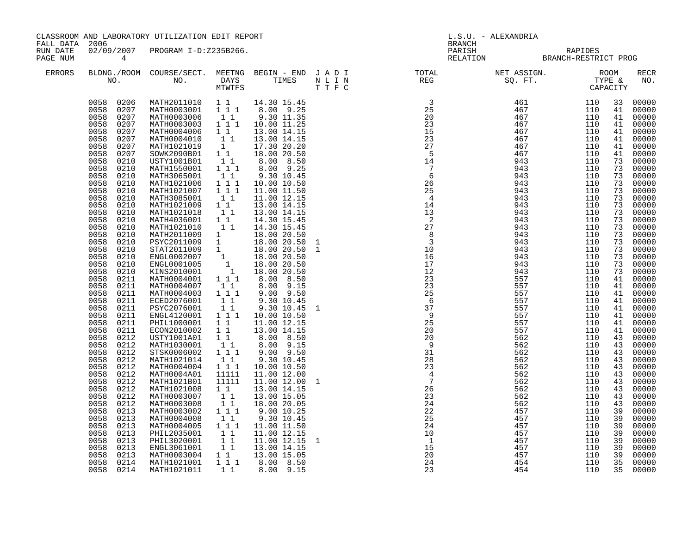|                                                                    |                                                                                                                                                                                                                                                                                                                                                                                                                                                                                                                                                                                                                                                                        |                                                                                                                                                                                                                                                                                                                                                                                                                                                                                                                                                                                                                                                                                                                                                                                                                                                                                                                                                                                                    | CLASSROOM AND LABORATORY UTILIZATION EDIT REPORT                                                                                                                                                                                                                 |                                                                                                                                                                                                                                                                                                                                                                                                                                                    |  | L.S.U. - ALEXANDRIA<br><b>BRANCH</b>                                                  |                                                                                                                                                                                                                                                                                                                                                                                                                                  |     |  |                                                                                                                                                                                                                                                                                                                                                                                                                |
|--------------------------------------------------------------------|------------------------------------------------------------------------------------------------------------------------------------------------------------------------------------------------------------------------------------------------------------------------------------------------------------------------------------------------------------------------------------------------------------------------------------------------------------------------------------------------------------------------------------------------------------------------------------------------------------------------------------------------------------------------|----------------------------------------------------------------------------------------------------------------------------------------------------------------------------------------------------------------------------------------------------------------------------------------------------------------------------------------------------------------------------------------------------------------------------------------------------------------------------------------------------------------------------------------------------------------------------------------------------------------------------------------------------------------------------------------------------------------------------------------------------------------------------------------------------------------------------------------------------------------------------------------------------------------------------------------------------------------------------------------------------|------------------------------------------------------------------------------------------------------------------------------------------------------------------------------------------------------------------------------------------------------------------|----------------------------------------------------------------------------------------------------------------------------------------------------------------------------------------------------------------------------------------------------------------------------------------------------------------------------------------------------------------------------------------------------------------------------------------------------|--|---------------------------------------------------------------------------------------|----------------------------------------------------------------------------------------------------------------------------------------------------------------------------------------------------------------------------------------------------------------------------------------------------------------------------------------------------------------------------------------------------------------------------------|-----|--|----------------------------------------------------------------------------------------------------------------------------------------------------------------------------------------------------------------------------------------------------------------------------------------------------------------------------------------------------------------------------------------------------------------|
| FALL DATA 2006<br>RUN DATE<br>PAGE NUM<br>$\overline{4}$<br>ERRORS |                                                                                                                                                                                                                                                                                                                                                                                                                                                                                                                                                                                                                                                                        | 02/09/2007 PROGRAM I-D:Z235B266.                                                                                                                                                                                                                                                                                                                                                                                                                                                                                                                                                                                                                                                                                                                                                                                                                                                                                                                                                                   |                                                                                                                                                                                                                                                                  |                                                                                                                                                                                                                                                                                                                                                                                                                                                    |  |                                                                                       | PARISH RAPIDES<br>RELATION BRANCH-RESTRICT PROG                                                                                                                                                                                                                                                                                                                                                                                  |     |  |                                                                                                                                                                                                                                                                                                                                                                                                                |
|                                                                    |                                                                                                                                                                                                                                                                                                                                                                                                                                                                                                                                                                                                                                                                        |                                                                                                                                                                                                                                                                                                                                                                                                                                                                                                                                                                                                                                                                                                                                                                                                                                                                                                                                                                                                    |                                                                                                                                                                                                                                                                  |                                                                                                                                                                                                                                                                                                                                                                                                                                                    |  |                                                                                       |                                                                                                                                                                                                                                                                                                                                                                                                                                  |     |  | <b>RECR</b><br>NO.                                                                                                                                                                                                                                                                                                                                                                                             |
|                                                                    | 0058 0207<br>0058 0207<br>0058<br>0207<br>0058<br>0207<br>0058<br>0207<br>0058<br>0207<br>0058<br>0207<br>0058<br>0210<br>0058<br>0210<br>0058<br>0210<br>0058<br>0210<br>0058<br>0210<br>0058<br>0210<br>0058<br>0210<br>0058<br>0210<br>0058<br>0210<br>0058<br>0210<br>0058<br>0210<br>0058<br>0210<br>0058<br>0210<br>0058<br>0210<br>0058<br>0210<br>0058<br>0210<br>0058<br>0211<br>0058<br>0211<br>0058<br>0211<br>0058<br>0211<br>0058<br>0211<br>0058<br>0211<br>0058<br>0211<br>0058<br>0211<br>0058<br>0212<br>0058<br>0212<br>0058<br>0212<br>0058<br>0212<br>0058<br>0212<br>0058<br>0212<br>0058<br>0212<br>0058<br>0212<br>0058<br>0212<br>0058<br>0212 | 0058 0206 MATH2011010 1 1 14.30 15.45<br>MATH0003001 111 8.00 9.25<br>MATH0003006    1    1    9.30    11.35<br>MATH0003003    1    1    10.00    11.25<br>MATH0004006<br>MATH0004010<br>MATH1021019 1 17.30 20.20<br>SOWK2090B01 1 1 18.00 20.50<br>USTY1001B01<br>MATH1550001 111<br>MATH3065001<br>MATH1021006<br>MATH1021007 1 1 1<br>MATH3085001<br>MATH1021009 1 1<br>MATH1021018<br>MATH4036001 1 1<br>MATH1021010 1 1<br>MATH2011009 1 13.00 20.50<br>MATH2011009 1 18.00 20.50<br>PSYC2011009 1 18.00 20.50<br>STAT2011009 1 18.00 20.50<br>ENGL0002007 1 18.00 20.50<br>ENGL0001005 1 18.00 20.50<br>KINS2010001 1 18.00 20.50<br>MATH0004001<br>MATH0004007<br>MATH0004003 111<br>ECED2076001<br>PSYC2076001<br>ENGL4120001 111 10.00 10.50<br>PHIL1000001 1 1 11.00 12.15<br>ECON2010002 1 1 13.00 14.15<br>USTY1001A01 1 1 8.00 8.50<br>MATH1030001<br>STSK0006002 111<br>MATH1021014<br>MATH0004004 1 1 1<br>MATH0004A01<br>MATH1021B01<br>MATH1021008<br>MATH0003007<br>MATH0003008 | $\begin{smallmatrix}1&&1\\&1\\1&&1\end{smallmatrix}$<br>$\begin{smallmatrix}1&1\\1&1&1\end{smallmatrix}$<br>11<br>$\begin{bmatrix} 1 & 1 \end{bmatrix}$<br>$1 1 1$<br>$1\quad1$<br>11<br>$1\quad1$<br>11<br>$1\quad1$<br>11111<br>11111<br>$1\quad1$<br>11<br>11 | 13.00 14.15<br>13.00 14.15<br>$\begin{bmatrix} 1 & 1 & 8 & 0 & 8 & 50 \\ 1 & 1 & 1 & 8 & 0 & 9 & 25 \end{bmatrix}$<br>9.30 10.45<br>10.00 10.50<br>11.00 11.50<br>11.00 12.15<br>13.00 14.15<br>13.00 14.15<br>14.30 15.45<br>14.30 15.45<br>8.00 8.50<br>8.00 9.15<br>9.00 9.50<br>9.30 10.45<br>9.30 10.45 1<br>8.00 9.15<br>9.00 9.50<br>9.30 10.45<br>10.00 10.50<br>11.00 12.00<br>11.00 12.00 1<br>13.00 14.15<br>13.00 15.05<br>18.00 20.05 |  |                                                                                       | $\begin{array}{cccccccc} \text{N} & \text{R} & \text{R} & \text{R} & \text{R} & \text{R} & \text{R} & \text{R} & \text{R} & \text{R} & \text{R} & \text{R} & \text{R} & \text{R} & \text{R} & \text{R} & \text{R} & \text{R} & \text{R} & \text{R} & \text{R} & \text{R} & \text{R} & \text{R} & \text{R} & \text{R} & \text{R} & \text{R} & \text{R} & \text{R} & \text{R} & \text{R} & \text{R} & \text{R} & \text{R} & \text$ |     |  | 33 00000<br>00000<br>00000<br>00000<br>41 00000<br>00000<br>41 00000<br>00000<br>00000<br>00000<br>00000<br>00000<br>00000<br>00000<br>00000<br>00000<br>00000<br>00000<br>00000<br>00000<br>00000<br>00000<br>00000<br>00000<br>00000<br>41 00000<br>00000<br>41 00000<br>41 00000<br>41 00000<br>00000<br>00000<br>00000<br>43 00000<br>00000<br>00000<br>00000<br>00000<br>00000<br>00000<br>00000<br>00000 |
|                                                                    | 0058<br>0213<br>0058<br>0213<br>0058<br>0213<br>0058<br>0213<br>0058<br>0213<br>0058<br>0213<br>0058<br>0213                                                                                                                                                                                                                                                                                                                                                                                                                                                                                                                                                           | MATH0003002 111<br>MATH0004008<br>MATH0004005 111<br>PHIL2035001<br>PHIL3020001<br>ENGL3061001<br>MATH0003004 1 1                                                                                                                                                                                                                                                                                                                                                                                                                                                                                                                                                                                                                                                                                                                                                                                                                                                                                  | 11<br>$1\quad1$<br>11<br>$1\quad1$                                                                                                                                                                                                                               | 9.00 10.25<br>9.30 10.45<br>11.00 11.50<br>11.00 12.15<br>11.00 12.15 1<br>13.00 14.15<br>13.00 15.05                                                                                                                                                                                                                                                                                                                                              |  | $\begin{array}{r} 24 \\ 22 \\ 25 \\ 24 \\ 10 \\ 1 \\ 1 \\ 20 \\ 24 \\ 23 \end{array}$ |                                                                                                                                                                                                                                                                                                                                                                                                                                  |     |  | 00000<br>00000<br>00000<br>00000<br>00000<br>00000<br>00000                                                                                                                                                                                                                                                                                                                                                    |
|                                                                    | 0058<br>0214<br>0058 0214                                                                                                                                                                                                                                                                                                                                                                                                                                                                                                                                                                                                                                              | MATH1021001<br>MATH1021011                                                                                                                                                                                                                                                                                                                                                                                                                                                                                                                                                                                                                                                                                                                                                                                                                                                                                                                                                                         | 1 1 1<br>11                                                                                                                                                                                                                                                      | 8.00 8.50<br>8.00 9.15                                                                                                                                                                                                                                                                                                                                                                                                                             |  |                                                                                       | 454                                                                                                                                                                                                                                                                                                                                                                                                                              | 110 |  | 00000<br>35 00000                                                                                                                                                                                                                                                                                                                                                                                              |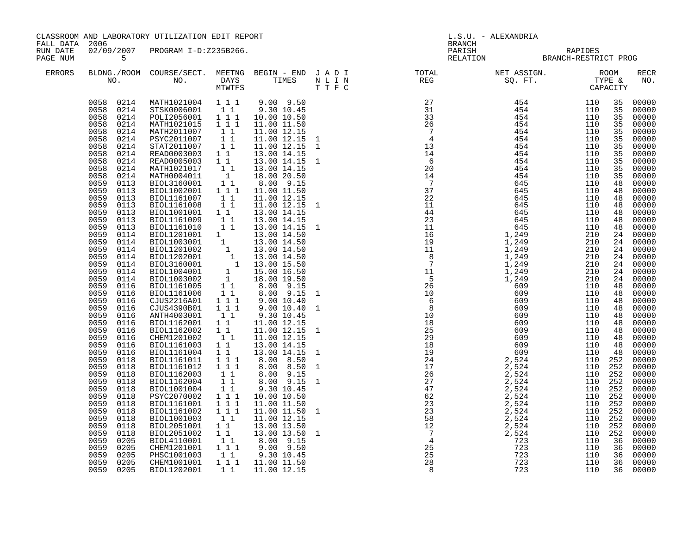| FALL DATA 2006       |                                                                                                                                                                                                                                                                                                                                                                                                                                                                                                                                                                        | CLASSROOM AND LABORATORY UTILIZATION EDIT REPORT                                                                                                                                                                                                                                                                                                                                                                                                                                                                                                                                                                                                                                                                                         |                                                                                                                                                                                            |                                                                                                                                                                                                                                                                                                                                                                                                              | L.S.U. - ALEXANDRIA<br>BRANCH |                                                                                                                                                                                                                                                                                                                                                                                                                                                          |                                                                                                            |                                                                                                                                                                      |                                                                                                                                                                                                                                                                                                                                                       |
|----------------------|------------------------------------------------------------------------------------------------------------------------------------------------------------------------------------------------------------------------------------------------------------------------------------------------------------------------------------------------------------------------------------------------------------------------------------------------------------------------------------------------------------------------------------------------------------------------|------------------------------------------------------------------------------------------------------------------------------------------------------------------------------------------------------------------------------------------------------------------------------------------------------------------------------------------------------------------------------------------------------------------------------------------------------------------------------------------------------------------------------------------------------------------------------------------------------------------------------------------------------------------------------------------------------------------------------------------|--------------------------------------------------------------------------------------------------------------------------------------------------------------------------------------------|--------------------------------------------------------------------------------------------------------------------------------------------------------------------------------------------------------------------------------------------------------------------------------------------------------------------------------------------------------------------------------------------------------------|-------------------------------|----------------------------------------------------------------------------------------------------------------------------------------------------------------------------------------------------------------------------------------------------------------------------------------------------------------------------------------------------------------------------------------------------------------------------------------------------------|------------------------------------------------------------------------------------------------------------|----------------------------------------------------------------------------------------------------------------------------------------------------------------------|-------------------------------------------------------------------------------------------------------------------------------------------------------------------------------------------------------------------------------------------------------------------------------------------------------------------------------------------------------|
| RUN DATE<br>PAGE NUM | $5^{\circ}$                                                                                                                                                                                                                                                                                                                                                                                                                                                                                                                                                            | 02/09/2007 PROGRAM I-D:Z235B266.                                                                                                                                                                                                                                                                                                                                                                                                                                                                                                                                                                                                                                                                                                         |                                                                                                                                                                                            |                                                                                                                                                                                                                                                                                                                                                                                                              |                               | PARISH RAPIDES<br>RELATION BRANCH-RESTRICT PROG                                                                                                                                                                                                                                                                                                                                                                                                          |                                                                                                            |                                                                                                                                                                      |                                                                                                                                                                                                                                                                                                                                                       |
| ERRORS               |                                                                                                                                                                                                                                                                                                                                                                                                                                                                                                                                                                        |                                                                                                                                                                                                                                                                                                                                                                                                                                                                                                                                                                                                                                                                                                                                          |                                                                                                                                                                                            |                                                                                                                                                                                                                                                                                                                                                                                                              |                               | $\begin{tabular}{lllllllllllllllllllll} \textsc{BLONG.} \textsc{ROOM} & \textsc{Course/SECT.} & \textsc{METING} & \textsc{BEGIN} & - & \textsc{END} & \textsc{J} & \textsc{A} & \textsc{D} & \textsc{I} & & & \textsc{TOT.} & \textsc{TOTAL} & & \textsc{NET} & \textsc{ASIGN.} & & \textsc{ROOM} \\ \textsc{NO.} & \textsc{NO.} & \textsc{DAYS} & \textsc{TIMES} & \textsc{N} & \textsc{L} & \textsc{I} & \textsc{NEG} & & \textsc{SEG} & & \textsc{ST$ |                                                                                                            |                                                                                                                                                                      | <b>RECR</b><br>NO.                                                                                                                                                                                                                                                                                                                                    |
|                      | 0058 0214<br>0058 0214<br>0058<br>0214<br>0058<br>0214<br>0058<br>0214<br>0058<br>0214<br>0058<br>0214<br>0058<br>0214<br>0058<br>0214<br>0058<br>0214<br>0059<br>0113<br>0059<br>0113<br>0059<br>0113<br>0059<br>0113<br>0059<br>0113<br>0059<br>0113<br>0059<br>0113<br>0059<br>0114<br>0059<br>0114<br>0059<br>0114<br>0059<br>0114<br>0059<br>0114<br>0059<br>0114<br>0059<br>0114<br>0059<br>0116<br>0059<br>0116<br>0059<br>0116<br>0059<br>0116<br>0059<br>0116<br>0059<br>0116<br>0059<br>0116<br>0059<br>0116<br>0059<br>0116<br>0059<br>0116<br>0059<br>0118 | 0058 0214 MATH1021004 111<br>STSK0006001 11<br>POLI2056001 111<br>MATH1021015<br>MATH2011007<br>PSYC2011007<br>STAT2011007<br>READ0003003 1 1<br>READ0005003 1 1<br>MATH1021017<br>MATH0004011<br>BIOL3160001<br>BIOL1002001 111<br>BIOL1161007 1 1<br>BIOL1161008 1 1<br>BIOL1001001 1 1<br>BIOL1161009 1 1<br>BIOL1161010 1 1<br>BIOLI161010 1 1 13.00 14.15<br>BIOL120103001 1 13.00 14.50<br>BIOL1201002 1 13.00 14.50<br>BIOL1201002 1 13.00 14.50<br>BIOL1202001 1 13.00 14.50<br>BIOL1202001 1 13.00 15.50<br>BIOL1004001 1 15.00 16.50<br>BIOL1003002 1 18.00 19.50<br>BI<br>CJUS2216A01 111<br>CJUS4390B01 111<br>ANTH4003001<br>BIOL1162001 1 1<br>BIOL1162002 1 1<br>CHEM1201002<br>BIOL1161003<br>BIOL1161004<br>BIOL1161011 | 1 1 1<br>$1\quad1$<br>11<br>11<br>$\begin{bmatrix} 1\\ 1\\ 1\\ 1 \end{bmatrix}$<br>$1\quad1$<br>11<br>1 1<br>$1\quad1$                                                                     | $9.00$ $9.50$<br>9.30 10.45<br>10.00 10.50<br>11.00 11.50<br>11.00 12.15<br>11.00 12.15<br>11.00 12.15<br>13.00 14.15<br>13.00 14.15<br>13.00 14.15<br>18.00 20.50<br>8.00 9.15<br>11.00 11.50<br>11.00 12.15<br>11.00 12.15<br>13.00 14.15<br>13.00 14.15<br>13.00 14.15 1<br>9.0010.40<br>9.00 10.40<br>9.30 10.45<br>11.00 12.15<br>11.00 12.15<br>11.00 12.15<br>13.00 14.15<br>13.00 14.15<br>8.00 8.50 |                               |                                                                                                                                                                                                                                                                                                                                                                                                                                                          | 110 252                                                                                                    | 35<br>35<br>35<br>35<br>35<br>35<br>35<br>35<br>35<br>35<br>48<br>48<br>48<br>48<br>48<br>48<br>48<br>24<br>24<br>48<br>48<br>48<br>48<br>48<br>48<br>48<br>48<br>48 | 35 00000<br>00000<br>00000<br>00000<br>00000<br>00000<br>00000<br>00000<br>00000<br>00000<br>00000<br>00000<br>00000<br>00000<br>00000<br>00000<br>00000<br>00000<br>00000<br>24 00000<br>24 00000<br>24 00000<br>00000<br>24 00000<br>24 00000<br>48 00000<br>00000<br>00000<br>00000<br>00000<br>00000<br>00000<br>00000<br>00000<br>00000<br>00000 |
|                      | 0059<br>0118<br>0059<br>0118<br>0059<br>0118<br>0059<br>0118<br>0059<br>0118<br>0059<br>0118<br>0059<br>0118<br>0059<br>0118<br>0059<br>0118<br>0059<br>0118<br>0059<br>0205<br>0059<br>0205<br>0059<br>0205                                                                                                                                                                                                                                                                                                                                                           | BIOL1161012<br>BIOL1162003<br>BIOL1162004<br>BIOL1001004<br>PSYC2070002<br>BIOL1161001<br>BIOL1161002 111<br>BIOL1001003<br>BIOL2051001 11<br>BIOL2051002<br>BIOL4110001<br>CHEM1201001 1 1 9.00 9.50<br>PHSC1001003 1 1 9.30 10.45                                                                                                                                                                                                                                                                                                                                                                                                                                                                                                      | $\begin{array}{rrrr} & 1 & 1 & 1 \\ & 1 & 1 & 1 \end{array}$<br>$\begin{array}{rr} 1 & 1 \\ 1 & 1 \end{array}$<br>11<br>$1^{\degree}1^{\degree}1$<br>1 1 1<br>$1\quad1$<br>$1\quad1$<br>11 | 8.00 8.50<br>8.00 9.15<br>8.00 9.15<br>9.30 10.45<br>10.00 10.50<br>11.00 11.50<br>11.00 11.50<br>11.00 12.15<br>13.00 13.50<br>13.00 13.50<br>8.00 9.15                                                                                                                                                                                                                                                     |                               |                                                                                                                                                                                                                                                                                                                                                                                                                                                          | 110 252<br>110 252<br>110 252<br>110 252<br>110 252<br>110 252<br>110 252<br>110 252<br>110 252<br>110 252 | 36<br>36<br>36                                                                                                                                                       | 00000<br>00000<br>00000<br>00000<br>00000<br>00000<br>00000<br>00000<br>00000<br>00000<br>00000<br>00000<br>00000                                                                                                                                                                                                                                     |
|                      | 0059<br>0205<br>0059                                                                                                                                                                                                                                                                                                                                                                                                                                                                                                                                                   | CHEM1001001<br>0205 BIOL1202001                                                                                                                                                                                                                                                                                                                                                                                                                                                                                                                                                                                                                                                                                                          |                                                                                                                                                                                            | 1 1 1 1 11.00 11.50<br>1 1 11.00 12.15                                                                                                                                                                                                                                                                                                                                                                       |                               |                                                                                                                                                                                                                                                                                                                                                                                                                                                          |                                                                                                            | 36<br>36                                                                                                                                                             | 00000<br>00000                                                                                                                                                                                                                                                                                                                                        |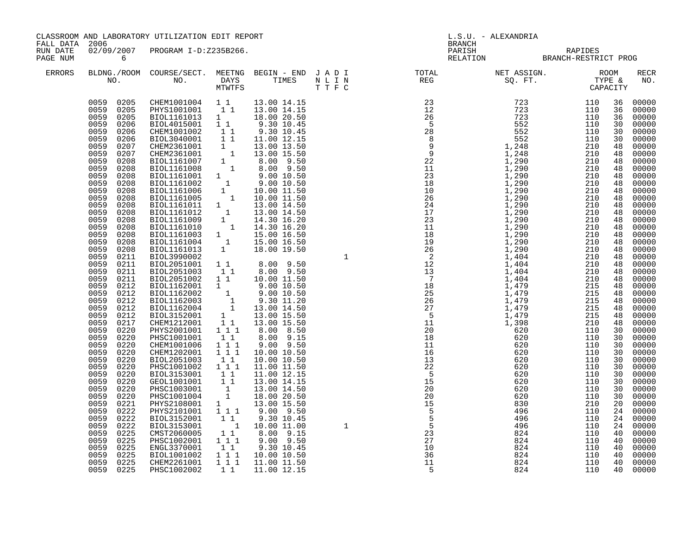| FALL DATA 2006       |                                                                                                                                                                                                                                                                                                                                                                                                                                                                                                                                                                                                                                                        | CLASSROOM AND LABORATORY UTILIZATION EDIT REPORT                                                                                                                                                                                                                                                                                                                                                                                                                                                                                                                                                                                                                                                                                                                                                                                                                                                                                                                                                                                                                                                 |                                                                                                                                                     |                                                                                                                                                                                                                     | L.S.U. - ALEXANDRIA<br><b>BRANCH</b> |                                                 |  |                                                                                                                                                                                                                                              |                                                                                                                                                                                                                                                                                                                                                                      |
|----------------------|--------------------------------------------------------------------------------------------------------------------------------------------------------------------------------------------------------------------------------------------------------------------------------------------------------------------------------------------------------------------------------------------------------------------------------------------------------------------------------------------------------------------------------------------------------------------------------------------------------------------------------------------------------|--------------------------------------------------------------------------------------------------------------------------------------------------------------------------------------------------------------------------------------------------------------------------------------------------------------------------------------------------------------------------------------------------------------------------------------------------------------------------------------------------------------------------------------------------------------------------------------------------------------------------------------------------------------------------------------------------------------------------------------------------------------------------------------------------------------------------------------------------------------------------------------------------------------------------------------------------------------------------------------------------------------------------------------------------------------------------------------------------|-----------------------------------------------------------------------------------------------------------------------------------------------------|---------------------------------------------------------------------------------------------------------------------------------------------------------------------------------------------------------------------|--------------------------------------|-------------------------------------------------|--|----------------------------------------------------------------------------------------------------------------------------------------------------------------------------------------------------------------------------------------------|----------------------------------------------------------------------------------------------------------------------------------------------------------------------------------------------------------------------------------------------------------------------------------------------------------------------------------------------------------------------|
| RUN DATE<br>PAGE NUM | $\overline{6}$                                                                                                                                                                                                                                                                                                                                                                                                                                                                                                                                                                                                                                         | 02/09/2007 PROGRAM I-D:Z235B266.                                                                                                                                                                                                                                                                                                                                                                                                                                                                                                                                                                                                                                                                                                                                                                                                                                                                                                                                                                                                                                                                 |                                                                                                                                                     |                                                                                                                                                                                                                     |                                      | PARISH RAPIDES<br>RELATION BRANCH-RESTRICT PROG |  |                                                                                                                                                                                                                                              |                                                                                                                                                                                                                                                                                                                                                                      |
| <b>ERRORS</b>        |                                                                                                                                                                                                                                                                                                                                                                                                                                                                                                                                                                                                                                                        |                                                                                                                                                                                                                                                                                                                                                                                                                                                                                                                                                                                                                                                                                                                                                                                                                                                                                                                                                                                                                                                                                                  |                                                                                                                                                     |                                                                                                                                                                                                                     |                                      |                                                 |  |                                                                                                                                                                                                                                              | RECR<br>NO.                                                                                                                                                                                                                                                                                                                                                          |
|                      | 0059 0205<br>0059 0205<br>0059<br>0205<br>0059<br>0206<br>0059<br>0206<br>0059<br>0206<br>0059<br>0207<br>0059<br>0207<br>0059<br>0208<br>0059<br>0208<br>0059<br>0208<br>0059<br>0208<br>0059<br>0208<br>0059<br>0208<br>0059<br>0208<br>0059<br>0208<br>0059<br>0208<br>0059<br>0208<br>0059<br>0208<br>0059<br>0208<br>0059<br>0208<br>0059<br>0211<br>0059<br>0211<br>0059<br>0211<br>0059<br>0211<br>0059<br>0212<br>0059<br>0212<br>0059<br>0212<br>0059<br>0212<br>0059<br>0212<br>0059<br>0217<br>0059<br>0220<br>0059<br>0220<br>0059<br>0220<br>0059<br>0220<br>0059<br>0220<br>0059<br>0220<br>0059<br>0220<br>0059<br>0220<br>0059<br>0220 | CHEM1001004   1   1   13.00   14.15<br>PHYS1001001   1   13.00   14.15<br>BIOL1161013 1<br>BIOL4015001 11<br>CHEM1001002<br>BIOL3040001<br>810L3040001 1 1 11.00 12.15<br>CHEM2361001 1 13.00 13.50<br>BIOL1161007 1 8.00 9.50<br>BIOL1161007 1 8.00 9.50<br>BIOL1161008 1 8.00 9.50<br>BIOL1161002 1 9.00 10.50<br>BIOL1161002 1 9.00 10.50<br>BIOL1161006 1 10.00 11.50<br>BIOL1161006<br>BIOLI161011 1 13.00 14.50<br>BIOLI161012 1 13.00 14.50<br>BIOLI161012 1 13.00 14.50<br>BIOLI161009 1 14.30 16.20<br>BIOLI161003 1 15.00 16.50<br>BIOLI161004 1 15.00 16.50<br>BIOLI161013 1 18.00 19.50<br>BIOL3990002<br>BIOL2051001 1 1 8.00 9.50<br>BIOL2051003<br>BIOL2051002<br>BIOL1162001<br>BIOL1162001<br>BIOL1162002<br>BIOL1162002<br>BIOL1162002<br>1 9.00 10.50<br>BIOL1162003<br>1 9.30 11.20<br>BIOL1162004<br>1 13.00 14.50<br>BIOL1162004<br>1 13.00 14.50<br>BIOL3152001<br>1 13.00 15.50<br>CHEM1212001<br>1 1 3.00 15.50<br>CHE<br>PHYS2001001 111<br>PHSC1001001<br>CHEM1001006<br>CHEM1202001<br>BIOL2051003<br>PHSC1001002 1 1 1<br>BIOL3153001<br>GEOL1001001<br>PHSC1003001 | $\begin{array}{rr} & 1 & 1 \\ & 1 & 1 \end{array}$<br>$1\quad1$<br>$1\quad1$<br>$1\quad1$<br>1 1 1<br>111<br>11<br>$1\quad1$<br>11<br>$\frac{1}{1}$ | 18.00 20.50<br>9.30 10.45<br>9.30 10.45<br>11.00 12.15<br>8.00 9.50<br>10.00 11.50<br>8.00 8.50<br>8.00 9.15<br>9.00 9.50<br>10.00 10.50<br>10.00 10.50<br>11.00 11.50<br>11.00 12.15<br>13.00 14.15<br>13.00 14.50 |                                      |                                                 |  | 36<br>36<br>36<br>30<br>30<br>30<br>48<br>48<br>48<br>48<br>48<br>48<br>48<br>48<br>48<br>48<br>48<br>48<br>48<br>48<br>48<br>48<br>48<br>48<br>48<br>48<br>48<br>48<br>48<br>48<br>48<br>30<br>30<br>30<br>30<br>30<br>30<br>30<br>30<br>30 | 00000<br>00000<br>00000<br>00000<br>00000<br>00000<br>00000<br>00000<br>00000<br>00000<br>00000<br>00000<br>00000<br>00000<br>00000<br>00000<br>00000<br>00000<br>00000<br>00000<br>00000<br>00000<br>00000<br>00000<br>00000<br>00000<br>00000<br>00000<br>00000<br>00000<br>00000<br>00000<br>00000<br>00000<br>00000<br>00000<br>00000<br>00000<br>00000<br>00000 |
|                      | 0059<br>0220<br>0059<br>0221<br>0059<br>0222<br>0059<br>0222<br>0059<br>0222<br>0059<br>0225<br>0059<br>0225<br>0059<br>0225                                                                                                                                                                                                                                                                                                                                                                                                                                                                                                                           | PHSC1001004<br>PHYS2108001<br>PHYS2101001 1 1 1<br>BIOL3152001 1 1<br>BIOL3153001<br>CMST2060005 1 1<br>PHSC1002001 111<br>ENGL3370001                                                                                                                                                                                                                                                                                                                                                                                                                                                                                                                                                                                                                                                                                                                                                                                                                                                                                                                                                           | 1<br>$1\quad1$                                                                                                                                      | 18.00 20.50<br>13.00 15.50<br>$9.00$ $9.50$<br>9.30 10.45<br>1 10.00 11.00<br>8.00 9.15<br>$9.00$ $9.50$<br>9.30 10.45                                                                                              |                                      |                                                 |  | 30<br>20<br>24<br>24<br>24<br>40<br>40<br>40                                                                                                                                                                                                 | 00000<br>00000<br>00000<br>00000<br>00000<br>00000<br>00000<br>00000                                                                                                                                                                                                                                                                                                 |
|                      | 0059<br>0225<br>0059<br>0225<br>0059 0225                                                                                                                                                                                                                                                                                                                                                                                                                                                                                                                                                                                                              | BIOL1001002<br>CHEM2261001<br>PHSC1002002                                                                                                                                                                                                                                                                                                                                                                                                                                                                                                                                                                                                                                                                                                                                                                                                                                                                                                                                                                                                                                                        | 1 1 1<br>111                                                                                                                                        | 10.00 10.50<br>11.00 11.50<br>1 1 11.00 12.15                                                                                                                                                                       |                                      |                                                 |  | 40<br>40<br>40                                                                                                                                                                                                                               | 00000<br>00000<br>00000                                                                                                                                                                                                                                                                                                                                              |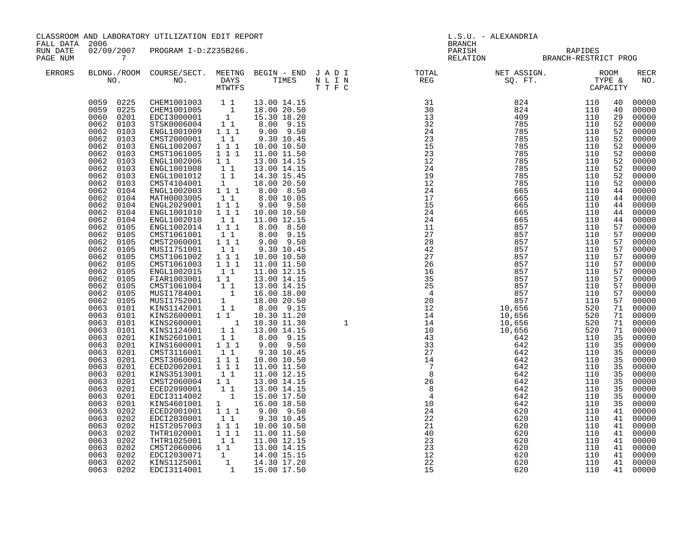| FALL DATA 2006       |                                                                                                                                                                                                                                                                                                                                                                                                                                                                                                                                                                                                                                                                                                                                 | CLASSROOM AND LABORATORY UTILIZATION EDIT REPORT                                                                                                                                                                                                                                                                                                                                                                                                                                                                                                                                                                                                                                                                                                                                                                                                                                                                                                                                                                                                                                                                                                                                                                                                        |                                                                                                                                                                                                                                                                                                                                                                                  |                                                                                                                                                                                                                                                                                                                                                                                                                                                                                                                                                 | L.S.U. - ALEXANDRIA<br>BRANCH |                                                                                                                                                                                                                                                                                                                                                                                                                                                       |  |                                                                                                                                                                                                                            |                                                                                                                                                                                                                                                                                                                                                                                                                                                                                                                   |
|----------------------|---------------------------------------------------------------------------------------------------------------------------------------------------------------------------------------------------------------------------------------------------------------------------------------------------------------------------------------------------------------------------------------------------------------------------------------------------------------------------------------------------------------------------------------------------------------------------------------------------------------------------------------------------------------------------------------------------------------------------------|---------------------------------------------------------------------------------------------------------------------------------------------------------------------------------------------------------------------------------------------------------------------------------------------------------------------------------------------------------------------------------------------------------------------------------------------------------------------------------------------------------------------------------------------------------------------------------------------------------------------------------------------------------------------------------------------------------------------------------------------------------------------------------------------------------------------------------------------------------------------------------------------------------------------------------------------------------------------------------------------------------------------------------------------------------------------------------------------------------------------------------------------------------------------------------------------------------------------------------------------------------|----------------------------------------------------------------------------------------------------------------------------------------------------------------------------------------------------------------------------------------------------------------------------------------------------------------------------------------------------------------------------------|-------------------------------------------------------------------------------------------------------------------------------------------------------------------------------------------------------------------------------------------------------------------------------------------------------------------------------------------------------------------------------------------------------------------------------------------------------------------------------------------------------------------------------------------------|-------------------------------|-------------------------------------------------------------------------------------------------------------------------------------------------------------------------------------------------------------------------------------------------------------------------------------------------------------------------------------------------------------------------------------------------------------------------------------------------------|--|----------------------------------------------------------------------------------------------------------------------------------------------------------------------------------------------------------------------------|-------------------------------------------------------------------------------------------------------------------------------------------------------------------------------------------------------------------------------------------------------------------------------------------------------------------------------------------------------------------------------------------------------------------------------------------------------------------------------------------------------------------|
| RUN DATE<br>PAGE NUM | $\overline{7}$                                                                                                                                                                                                                                                                                                                                                                                                                                                                                                                                                                                                                                                                                                                  | 02/09/2007 PROGRAM I-D:Z235B266.                                                                                                                                                                                                                                                                                                                                                                                                                                                                                                                                                                                                                                                                                                                                                                                                                                                                                                                                                                                                                                                                                                                                                                                                                        |                                                                                                                                                                                                                                                                                                                                                                                  |                                                                                                                                                                                                                                                                                                                                                                                                                                                                                                                                                 |                               | PARISH RAPIDES<br>RELATION BRANCH-RESTRICT PROG                                                                                                                                                                                                                                                                                                                                                                                                       |  |                                                                                                                                                                                                                            |                                                                                                                                                                                                                                                                                                                                                                                                                                                                                                                   |
| <b>ERRORS</b>        |                                                                                                                                                                                                                                                                                                                                                                                                                                                                                                                                                                                                                                                                                                                                 |                                                                                                                                                                                                                                                                                                                                                                                                                                                                                                                                                                                                                                                                                                                                                                                                                                                                                                                                                                                                                                                                                                                                                                                                                                                         |                                                                                                                                                                                                                                                                                                                                                                                  |                                                                                                                                                                                                                                                                                                                                                                                                                                                                                                                                                 |                               | $\begin{array}{cccccccccccccc} \texttt{BLDNA} \cdot \texttt{ROOM} & \texttt{COURSE/SECT.} & \texttt{MEETNG} & \texttt{BEGIN} & - & \texttt{END} & \texttt{J} & \texttt{A} & \texttt{D} & \texttt{I} & & & & & & & & & \\ \texttt{NO.} & \texttt{NO.} & \texttt{DAYS} & \texttt{TIMES} & \texttt{N} & \texttt{L} & \texttt{I} & \texttt{N} & & & & & & & & \\ \texttt{NO.} & \texttt{NO.} & \texttt{MTVTFS} & \texttt{T'F} & \texttt{C} & & & & & & &$ |  |                                                                                                                                                                                                                            | <b>RECR</b><br>NO.                                                                                                                                                                                                                                                                                                                                                                                                                                                                                                |
|                      | 0062 0103<br>0062<br>0103<br>0062<br>0103<br>0062<br>0103<br>0062<br>0103<br>0062<br>0103<br>0062<br>0103<br>0062<br>0103<br>0062<br>0104<br>0062 0104<br>0062 0104<br>0062 0104<br>0062<br>0104<br>0062 0105<br>0062 0105<br>0062 0105<br>0062<br>0105<br>0062 0105<br>0062 0105<br>0062 0105<br>0062<br>0105<br>0062 0105<br>0062 0105<br>0062 0105<br>0063<br>0101<br>0063<br>0101<br>0063<br>0101<br>0063<br>0101<br>0063<br>0201<br>0063<br>0201<br>0063<br>0201<br>0063<br>0201<br>0063 0201<br>0063<br>0201<br>0063<br>0201<br>0063<br>0201<br>0063<br>0201<br>0063<br>0201<br>0063<br>0202<br>0063<br>0202<br>0063<br>0202<br>0063<br>0202<br>0063<br>0202<br>0063<br>0202<br>0063<br>0202<br>0063<br>0202<br>0063 0202 | $\begin{array}{cccc} 0059 & 0225 & \text{CHEM1001003} & 1 & 1 & 13.00 & 14.15 \\ 0059 & 0225 & \text{CHEM1001005} & 1 & 18.00 & 20.50 \\ 0060 & 0201 & \text{EDC13000001} & 1 & 15.30 & 18.20 \\ 0062 & 0103 & \text{STSK0006004} & 1 & 1 & 8.00 & 9.15 \end{array}$<br>ENGL1001009<br>CMST2000001<br>ENGL1002007<br>CMST1061005<br>ENGL1002006<br>ENGL1001008<br>ENGL1001012<br>CMST4104001<br>ENGL1002003 111<br>MATH0003005<br>ENGL2029001<br>ENGL1001010<br>ENGL1002010<br>ENGL1002014 1 1 1<br>CMST1061001<br>CMST2060001<br>MUSI1751001<br>CMST1061002<br>CMST1061003<br>ENGL1002015<br>FIAR1003001 1 <sup>1</sup><br>CMST1061004 1 1<br>MUSI1784001 1<br>MUSI1752001 1<br>KINS1142001 1<br>XINS2600001 1 1 10.30 11.20<br>XINS2600001 1 10.30 11.30<br>XINS2600001 1 1 13.00 14.15<br>XINS2601001 1 1 8.00 9.15<br>XINS1600001 1 1 9.00 9.50<br>CMST3116001<br>CMST3060001 1 1 1<br>ECED2002001 111<br>KINS3513001<br>CMST2060004 1 1<br>ECED2090001 1 1<br>EDCI3114002<br>KINS4601001<br>ECED2001001<br>EDCI2030001<br>HIST2057003 111<br>THTR1020001 111<br>THTR1020001 1 1 1 11.00 11.50<br>THTR1025001 1 1 11.00 12.15<br>CMST2060006 1 1 13.00 14.15<br>EDCI2030071 1 14.00 15.15<br>KINS1125001 1 14.30 17.20<br>EDCI3114001 1 15.00 17.50 | 1 1 1<br>$1\quad1$<br>$1 1 1$<br>$\overline{1}$ $\overline{1}$ $\overline{1}$<br>11<br>$\begin{bmatrix} 1 & 1 \\ 1 & 1 \end{bmatrix}$<br>1<br>11<br>$1 1 1$<br>111<br>$1\quad1$<br>11<br>$\begin{smallmatrix}1&&1\\&1\\1&&1\end{smallmatrix}$<br>$1 1 1$<br>$1 1 1$<br>11<br>$1\quad1$<br>$1\quad1$<br>$\begin{smallmatrix}&&1\\&&1\\1&&\end{smallmatrix}$<br>1 1 1<br>$1\quad1$ | 9.00 9.50<br>9.30 10.45<br>10.00 10.50<br>11.00 11.50<br>13.00 14.15<br>13.00 14.15<br>14.30 15.45<br>18.00 20.50<br>8.00 8.50<br>8.00 10.05<br>$9.00$ $9.50$<br>10.00 10.50<br>11.00 12.15<br>8.00 8.50<br>8.00 9.15<br>$9.00$ $9.50$<br>9.30 10.45<br>10.00 10.50<br>11.00 11.50<br>11.00 12.15<br>13.00 14.15<br>13.00 14.15<br>16.00 18.00<br>18.00 20.50<br>8.00 9.15<br>9.30 10.45<br>10.00 10.50<br>11.00 11.50<br>11.00 12.15<br>13.00 14.15<br>13.00 14.15<br>15.00 17.50<br>16.00 18.50<br>$9.00$ $9.50$<br>9.30 10.45<br>10.00 10.50 |                               |                                                                                                                                                                                                                                                                                                                                                                                                                                                       |  | 40<br>40<br>29<br>52<br>52<br>52<br>52<br>52<br>52<br>52<br>52<br>52<br>44<br>57<br>57<br>57<br>57<br>57<br>57<br>57<br>57<br>57<br>57<br>71<br>71<br>35<br>35<br>35<br>35<br>35<br>35<br>35<br>35<br>35<br>41<br>41<br>41 | 00000<br>00000<br>00000<br>00000<br>00000<br>00000<br>00000<br>00000<br>00000<br>00000<br>00000<br>00000<br>44 00000<br>44 00000<br>00000<br>44 00000<br>44 00000<br>57 00000<br>00000<br>00000<br>00000<br>00000<br>00000<br>00000<br>00000<br>00000<br>00000<br>00000<br>71 00000<br>00000<br>71 00000<br>00000<br>35 00000<br>00000<br>00000<br>00000<br>00000<br>00000<br>00000<br>00000<br>00000<br>00000<br>41 00000<br>00000<br>00000<br>41 00000<br>41 00000<br>41 00000<br>00000<br>41 00000<br>41 00000 |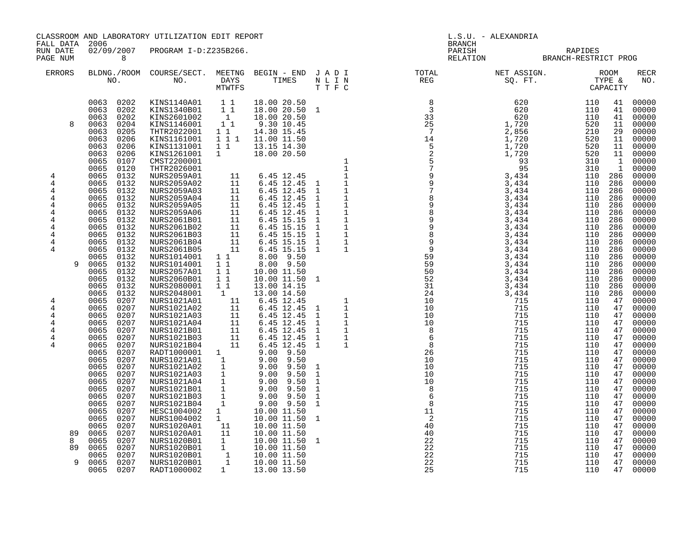CLASSROOM AND LABORATORY UTILIZATION EDIT REPORT LETTER SOLL AND SALL DATA ALEXANDRIA FALL DATA 2006 FALL DATA 2006 RUN DATE 02/09/2007 PROGRAM I-D:Z235B266. RUN DATE 02/09/2007 PROGRAM I-D:Z235B266.<br>PAGE NUM 8 RELATION BRANCH-RESTRICT PROGRAM SERIES AND RELATION BRANCH-RESTRICT PROGRAME ERRORS BLDNG./ROOM COURSE/SECT. MEETNG BEGIN - END J A D I TOTAL NET ASSIGN. ROOM RECR NO. NO. DAYS TIMES N L I N REG SQ. FT. TYPE & NO. MTWTFS T T F C CAPACITY 0063 0202 KINS1140A01 1 1 18.00 20.50 8 620 110 41 00000 0063 0202 KINS1340B01 1 1 18.00 20.50 1 3 620 110 41 00000 0063 0202 KINS2601002 1 18.00 20.50 33 620 110 41 00000 8 0063 0204 KINS1146001 1 1 9.30 10.45 25 1,720 520 11 00000 0063 0205 THTR2022001 1 1 14.30 15.45 7 2,856 210 29 00000 0063 0206 KINS1161001 1 1 1 11.00 11.50 1 1 1,720 520 11 00000 0063 0206 KINS1131001 1 1 13.15 14.30 5 1,720 520 11 00000 0063 0206 KINS1261001 1 18.00 20.50 2 1,720 520 11 00000 0065 0107 CMST2200001 1 5 93 310 1 00000 0065 0120 THTR2026001 1 7 95 310 1 00000 4 0065 0132 NURS2059A01 11 6.45 12.45 1 9 3,434 110 286 00000 4 0065 0132 NURS2059A02 11 6.45 12.45 1 1 9 3,434 110 286 00000 4 0065 0132 NURS2059A03 11 6.45 12.45 1 1 7 3,434 110 286 00000 4 0065 0132 NURS2059A04 11 6.45 12.45 1 1 8 3,434 110 286 00000 4 0065 0132 NURS2059A05 11 6.45 12.45 1 1 9 3,434 110 286 00000 4 0065 0132 NURS2059A06 11 6.45 12.45 1 1 8 3,434 110 286 00000 4 0065 0132 NURS2061B01 11 6.45 15.15 1 1 9 3,434 110 286 00000 4 0065 0132 NURS2061B02 11 6.45 15.15 1 1 9 3,434 110 286 00000 4 0065 0132 NURS2061B03 11 6.45 15.15 1 1 8 3,434 110 286 00000 4 0065 0132 NURS2061B04 11 6.45 15.15 1 1 9 3,434 110 286 00000 4 0065 0132 NURS2061B05 11 6.45 15.15 1 1 9 3,434 110 286 00000 0065 0132 NURS1014001 1 1 8.00 9.50 59 3,434 110 286 00000 9 0065 0132 NURS1014001 1 1 8.00 9.50 59 3,434 110 286 00000 0065 0132 NURS2057A01 1 1 10.00 11.50 50 3,434 110 286 00000 0065 0132 NURS2060B01 1 1 10.00 11.50 1 52 3,434 110 286 00000 0065 0132 NURS2080001 1 1 13.00 14.15 31 3,434 110 286 00000 0065 0132 NURS2048001 1 13.00 14.50 24 3,434 110 286 00000 4 0065 0207 NURS1021A01 11 6.45 12.45 1 10 715 110 47 00000 4 0065 0207 NURS1021A02 11 6.45 12.45 1 1 10 715 110 47 00000 4 0065 0207 NURS1021A03 11 6.45 12.45 1 1 10 715 110 47 00000 4 0065 0207 NURS1021A04 11 6.45 12.45 1 1 10 715 110 47 00000 4 0065 0207 NURS1021B01 11 6.45 12.45 1 1 8 715 110 47 00000 4 0065 0207 NURS1021B03 11 6.45 12.45 1 1 6 715 110 47 00000 4 0065 0207 NURS1021B04 11 6.45 12.45 1 1 8 715 110 47 00000 0065 0207 RADT1000001 1 9.00 9.50 26 715 110 47 00000 0065 0207 NURS1021A01 1 9.00 9.50 10 715 110 47 00000 0065 0207 NURS1021A02 1 9.00 9.50 1 10 715 110 47 00000 0065 0207 NURS1021A03 1 9.00 9.50 1 10 715 110 47 00000 0065 0207 NURS1021A04 1 9.00 9.50 1 10 715 110 47 00000 0065 0207 NURS1021B01 1 9.00 9.50 1 8 715 110 47 00000 0065 0207 NURS1021B03 1 9.00 9.50 1 6 715 110 47 00000 0065 0207 NURS1021B04 1 9.00 9.50 1 8 715 110 47 00000 0065 0207 HESC1004002 1 10.00 11.50 11 715 110 47 00000 0065 0207 NURS1004002 1 10.00 11.50 1 2 715 110 47 00000 0065 0207 NURS1020A01 11 10.00 11.50 40 715 110 47 00000 89 0065 0207 NURS1020A01 11 10.00 11.50 40 715 110 47 00000 8 0065 0207 NURS1020B01 1 10.00 11.50 1 22 715 110 47 00000 89 0065 0207 NURS1020B01 1 10.00 11.50 22 715 110 47 00000 0065 0207 NURS1020B01 1 10.00 11.50 22 715 110 47 00000 9 0065 0207 NURS1020B01 1 10.00 11.50 22 715 110 47 00000 0065 0207 RADT1000002 1 13.00 13.50 25 715 110 47 00000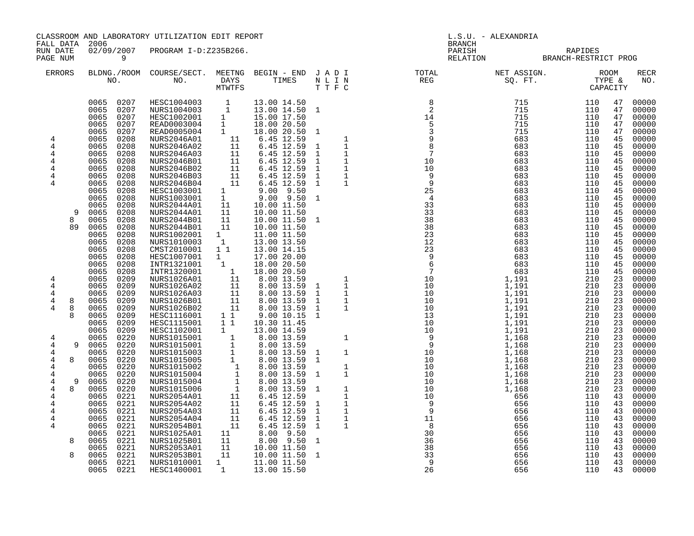CLASSROOM AND LABORATORY UTILIZATION EDIT REPORT NEWSLAMPHON NEWSLAMPHONE REPORT L.S.U. - ALEXANDRIA

FALL DATA 2006 BRANCH STATES AND STATES AND STATES AND STATES AND STATES AND BRANCH STATES AND STATES AND STATES AND STATES AND STATES AND STATES AND STATES AND STATES AND STATES AND STATES AND STATES AND STATES AND STATES

| FALL DATA<br>RUN DATE<br>PAGE NUM | 2006<br>02/09/2007                                             | PROGRAM I-D:Z235B266.                                                 |                          |                                                          |                         | PARISH       | <b>BRANCH</b><br>RELATION           | RAPIDES<br>BRANCH-RESTRICT PROG   |                              |                                  |  |  |
|-----------------------------------|----------------------------------------------------------------|-----------------------------------------------------------------------|--------------------------|----------------------------------------------------------|-------------------------|--------------|-------------------------------------|-----------------------------------|------------------------------|----------------------------------|--|--|
| <b>ERRORS</b>                     | BLDNG./ROOM<br>NO.                                             | COURSE/SECT.<br>NO.                                                   | MEETNG<br>DAYS<br>MTWTFS | BEGIN - END<br>TIMES                                     | JADI<br>NLIN<br>T T F C | TOTAL<br>REG | NET ASSIGN.<br>SO. FT.              | <b>ROOM</b><br>TYPE &<br>CAPACITY |                              | RECR<br>NO.                      |  |  |
|                                   | 0065<br>0207<br>0207<br>0065<br>0207<br>0065<br>0.000<br>00000 | HESC1004003<br>NURS1004003<br>HESC1002001<br><b><u>----000000</u></b> |                          | 13.00 14.50<br>13.00 14.50<br>15.00 17.50<br>10.00.00.50 |                         |              | 715<br>715<br>715<br>$\blacksquare$ | 110<br>110<br>1.1 <sub>0</sub>    | 47<br>47<br>47<br>$\sqrt{2}$ | 00000<br>00000<br>00000<br>00000 |  |  |

|        |              |              |              |                                          | <b>MTWTFS</b>                |                            | TTFC              |                      |                 |                |            | CAPACITY |                |
|--------|--------------|--------------|--------------|------------------------------------------|------------------------------|----------------------------|-------------------|----------------------|-----------------|----------------|------------|----------|----------------|
|        |              | 0065<br>0065 | 0207<br>0207 | HESC1004003<br>NURS1004003               | $\mathbf{1}$<br>$\mathbf{1}$ | 13.00 14.50<br>13.00 14.50 | 1                 |                      | 8<br>2          | 715<br>715     | 110<br>110 | 47<br>47 | 00000<br>00000 |
|        |              | 0065         | 0207         | HESC1002001                              | $\mathbf{1}$                 | 15.00 17.50                |                   |                      | 14              | 715            | 110        | 47       | 00000          |
|        |              | 0065         | 0207         | READ0003004                              | $\mathbf{1}$                 | 18.00 20.50                |                   |                      | 5               | 715            | 110        | 47       | 00000          |
|        |              | 0065         | 0207         | READ0005004                              | $\mathbf{1}$                 | 18.00 20.50                | 1                 |                      | 3               | 715            | 110        | 47       | 00000          |
| 4      |              | 0065         | 0208         | <b>NURS2046A01</b>                       | 11                           | 6.45 12.59                 |                   | $\mathbf 1$          | 9               | 683            | 110        | 45       | 00000          |
| 4      |              | 0065         | 0208         | <b>NURS2046A02</b>                       | 11                           | 6.45 12.59                 | 1                 | $1\,$                | 8               | 683            | 110        | 45       | 00000          |
| 4      |              | 0065         | 0208         | <b>NURS2046A03</b>                       | 11                           | 6.45 12.59                 | 1                 | $\mathbf 1$          | $7\phantom{.0}$ | 683            | 110        | 45       | 00000          |
| 4      |              | 0065         | 0208         | NURS2046B01                              | 11                           | 6.45 12.59                 | 1                 | $\mathbf 1$          | 10              | 683            | 110        | 45       | 00000          |
| 4      |              | 0065         | 0208         | <b>NURS2046B02</b>                       | 11                           | 6.45 12.59                 | 1                 | $\mathbf{1}$         | 10              | 683            | 110        | 45       | 00000          |
| 4      |              | 0065         | 0208         | <b>NURS2046B03</b>                       | 11                           | 6.45 12.59                 | $\mathbf{1}$      | $1\,$                | 9               | 683            | 110        | 45       | 00000          |
| 4      |              | 0065         | 0208         | NURS2046B04                              | 11                           | 6.45 12.59                 | 1                 | 1                    | 9               | 683            | 110        | 45       | 00000          |
|        |              | 0065         | 0208         | HESC1003001                              | 1                            | 9.50<br>9.00               |                   |                      | 25              | 683            | 110        | 45       | 00000          |
|        |              | 0065         | 0208         | NURS1003001                              | $\mathbf{1}$                 | 9.50<br>9.00               | $\mathbf{1}$      |                      | $\overline{4}$  | 683            | 110        | 45       | 00000          |
|        |              | 0065         | 0208         | <b>NURS2044A01</b>                       | 11                           | 10.00 11.50                |                   |                      | 33              | 683            | 110        | 45       | 00000          |
|        | 9            | 0065         | 0208         | NURS2044A01                              | 11                           | 10.00 11.50                |                   |                      | 33              | 683            | 110        | 45       | 00000          |
|        | 8            | 0065         | 0208         | NURS2044B01                              | 11                           | 10.00 11.50                | $\mathbf{1}$      |                      | 38              | 683            | 110        | 45       | 00000          |
|        | 89           | 0065         | 0208         | <b>NURS2044B01</b>                       | 11                           | 10.00 11.50                |                   |                      | 38              | 683            | 110        | 45       | 00000          |
|        |              | 0065         | 0208         | NURS1002001                              | $\mathbf{1}$                 | 11.00 11.50                |                   |                      | 23              | 683            | 110        | 45       | 00000          |
|        |              | 0065         | 0208         | NURS1010003                              | $\mathbf{1}$                 | 13.00 13.50                |                   |                      | 12              | 683            | 110        | 45       | 00000          |
|        |              | 0065         | 0208         | CMST2010001                              | 11                           | 13.00 14.15                |                   |                      | 23              | 683            | 110        | 45       | 00000          |
|        |              | 0065         | 0208         | HESC1007001                              | $\mathbf 1$                  | 17.00 20.00                |                   |                      | 9               | 683            | 110        | 45       | 00000          |
|        |              | 0065         | 0208         | INTR1321001                              | $\mathbf{1}$                 | 18.00 20.50                |                   |                      | 6               | 683            | 110        | 45       | 00000          |
|        |              | 0065         | 0208         | INTR1320001                              | $\mathbf{1}$                 | 18.00 20.50                |                   |                      | $7\overline{ }$ | 683            | 110        | 45       | 00000          |
| 4      |              | 0065<br>0065 | 0209<br>0209 | NURS1026A01<br><b>NURS1026A02</b>        | 11                           | 8.00 13.59<br>8.00 13.59   |                   | 1                    | 10<br>10        | 1,191<br>1,191 | 210<br>210 | 23<br>23 | 00000<br>00000 |
| 4<br>4 |              | 0065         | 0209         | <b>NURS1026A03</b>                       | 11<br>11                     | 8.00 13.59                 | 1<br>1            | $1\,$<br>$\mathbf 1$ | 10              | 1,191          | 210        | 23       | 00000          |
| 4      | 8            | 0065         | 0209         | <b>NURS1026B01</b>                       | 11                           | 8.00 13.59                 | $\mathbf{1}$      | $\mathbf{1}$         | 10              | 1,191          | 210        | 23       | 00000          |
| 4      | 8            | 0065         | 0209         | NURS1026B02                              | 11                           | 8.00 13.59                 | $\mathbf{1}$      | $\mathbf 1$          | 10              | 1,191          | 210        | 23       | 00000          |
|        | $\mathsf{R}$ | 0065         | 0209         | HESC1116001                              | $1\quad1$                    | 9.00 10.15                 | 1                 |                      | 13              | 1,191          | 210        | 23       | 00000          |
|        |              | 0065         | 0209         | HESC1115001                              | $1\quad1$                    | 10.30 11.45                |                   |                      | 10              | 1,191          | 210        | 23       | 00000          |
|        |              | 0065         | 0209         | HESC1102001                              | $\mathbf{1}$                 | 13.00 14.59                |                   |                      | 10              | 1,191          | 210        | 23       | 00000          |
| 4      |              | 0065         | 0220         | NURS1015001                              | $\mathbf{1}$                 | 8.00 13.59                 |                   | $\mathbf{1}$         | 9               | 1,168          | 210        | 23       | 00000          |
| 4      | 9            | 0065         | 0220         | NURS1015001                              | 1                            | 8.00 13.59                 |                   |                      | 9               | 1,168          | 210        | 23       | 00000          |
| 4      |              | 0065         | 0220         | NURS1015003                              | $\mathbf{1}$                 | 8.00 13.59                 | 1                 | $\mathbf 1$          | 10              | 1,168          | 210        | 23       | 00000          |
| 4      | 8            | 0065         | 0220         | NURS1015005                              | $\mathbf{1}$                 | 8.00 13.59                 | $\mathbf{1}$      |                      | 10              | 1,168          | 210        | 23       | 00000          |
| 4      |              | 0065         | 0220         | NURS1015002                              | 1                            | 8.00 13.59                 |                   | 1                    | 10              | 1,168          | 210        | 23       | 00000          |
| 4      |              | 0065         | 0220         | NURS1015004                              | $\mathbf{1}$                 | 8.00 13.59                 | 1                 | $\mathbf 1$          | 10              | 1,168          | 210        | 23       | 00000          |
| 4      | 9            | 0065         | 0220         | NURS1015004                              | $\mathbf 1$                  | 8.00 13.59                 |                   |                      | 10              | 1,168          | 210        | 23       | 00000          |
| 4      | 8            | 0065         | 0220         | NURS1015006                              | $\mathbf{1}$                 | 8.00 13.59                 | -1                | 1                    | 10              | 1,168          | 210        | 23       | 00000          |
| 4      |              | 0065         | 0221         | NURS2054A01                              | 11                           | 6.45 12.59                 |                   | $\mathbf 1$          | 10              | 656            | 110        | 43       | 00000          |
| 4      |              | 0065         | 0221         | <b>NURS2054A02</b>                       | 11                           | 6.45 12.59                 | $\mathbf{1}$      | $1\,$                | 9               | 656            | 110        | 43       | 00000          |
| 4      |              | 0065<br>0065 | 0221<br>0221 | <b>NURS2054A03</b><br><b>NURS2054A04</b> | 11<br>11                     | 6.45 12.59<br>6.45 12.59   | 1<br>$\mathbf{1}$ | 1<br>$\mathbf 1$     | 9<br>11         | 656<br>656     | 110<br>110 | 43<br>43 | 00000<br>00000 |
| 4<br>4 |              | 0065         | 0221         | <b>NURS2054B01</b>                       | 11                           | 6.45 12.59                 | 1                 | $\mathbf{1}$         | 8               | 656            | 110        | 43       | 00000          |
|        |              | 0065         | 0221         | NURS1025A01                              | 11                           | 8.00<br>9.50               |                   |                      | 30              | 656            | 110        | 43       | 00000          |
|        | 8            | 0065         | 0221         | NURS1025B01                              | 11                           | 9.50<br>8.00               | 1                 |                      | 36              | 656            | 110        | 43       | 00000          |
|        |              | 0065         | 0221         | NURS2053A01                              | 11                           | 10.00 11.50                |                   |                      | 38              | 656            | 110        | 43       | 00000          |
|        | 8            | 0065         | 0221         | <b>NURS2053B01</b>                       | 11                           | 10.00 11.50                | 1                 |                      | 33              | 656            | 110        | 43       | 00000          |
|        |              | 0065         | 0221         | NURS1010001                              | $\mathbf 1$                  | 11.00 11.50                |                   |                      | 9               | 656            | 110        | 43       | 00000          |
|        |              | 0065         | 0221         | HESC1400001                              | $\mathbf{1}$                 | 13.00 15.50                |                   |                      | 26              | 656            | 110        | 43       | 00000          |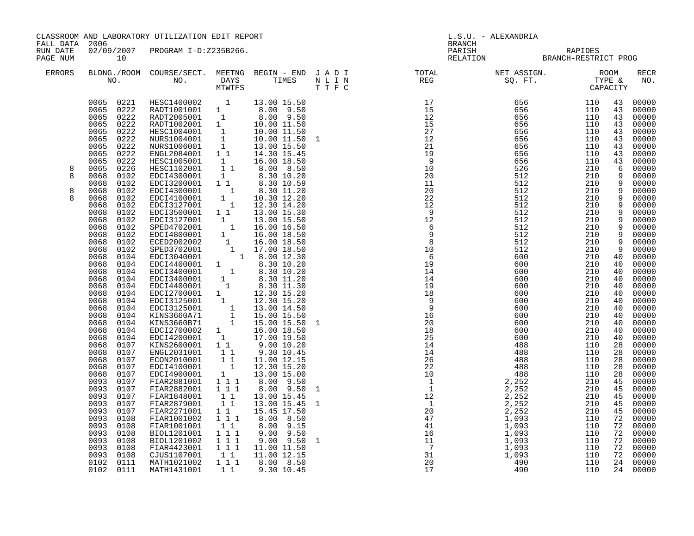| FALL DATA 2006       |                                                                                                                                                                                                                                                                                                                                                                                                                                                                                                                                                                                                                                                                                              | CLASSROOM AND LABORATORY UTILIZATION EDIT REPORT                                                                                                                                                                                                                                                                                                                                                                                                                                                                                                                                                                                                                                                                                                                                                                                                                                                                                                                                                                                                                              |                                                                                  |                                                                                                                                                                                                                                                                   |  | L.S.U. - ALEXANDRIA<br><b>BRANCH</b>                                                                                                                                                                                                                                                                                                                                                                                                           |                                                 |                                                                                                                                                                                                                                                                 |                                                                                                                                                                                                                                                                   |                                                                                                                                                                                                                                                                                                                                                                                                                                   |
|----------------------|----------------------------------------------------------------------------------------------------------------------------------------------------------------------------------------------------------------------------------------------------------------------------------------------------------------------------------------------------------------------------------------------------------------------------------------------------------------------------------------------------------------------------------------------------------------------------------------------------------------------------------------------------------------------------------------------|-------------------------------------------------------------------------------------------------------------------------------------------------------------------------------------------------------------------------------------------------------------------------------------------------------------------------------------------------------------------------------------------------------------------------------------------------------------------------------------------------------------------------------------------------------------------------------------------------------------------------------------------------------------------------------------------------------------------------------------------------------------------------------------------------------------------------------------------------------------------------------------------------------------------------------------------------------------------------------------------------------------------------------------------------------------------------------|----------------------------------------------------------------------------------|-------------------------------------------------------------------------------------------------------------------------------------------------------------------------------------------------------------------------------------------------------------------|--|------------------------------------------------------------------------------------------------------------------------------------------------------------------------------------------------------------------------------------------------------------------------------------------------------------------------------------------------------------------------------------------------------------------------------------------------|-------------------------------------------------|-----------------------------------------------------------------------------------------------------------------------------------------------------------------------------------------------------------------------------------------------------------------|-------------------------------------------------------------------------------------------------------------------------------------------------------------------------------------------------------------------------------------------------------------------|-----------------------------------------------------------------------------------------------------------------------------------------------------------------------------------------------------------------------------------------------------------------------------------------------------------------------------------------------------------------------------------------------------------------------------------|
| RUN DATE<br>PAGE NUM | 10                                                                                                                                                                                                                                                                                                                                                                                                                                                                                                                                                                                                                                                                                           | 02/09/2007 PROGRAM I-D:Z235B266.                                                                                                                                                                                                                                                                                                                                                                                                                                                                                                                                                                                                                                                                                                                                                                                                                                                                                                                                                                                                                                              |                                                                                  |                                                                                                                                                                                                                                                                   |  |                                                                                                                                                                                                                                                                                                                                                                                                                                                | PARISH RAPIDES<br>RELATION BRANCH-RESTRICT PROG |                                                                                                                                                                                                                                                                 |                                                                                                                                                                                                                                                                   |                                                                                                                                                                                                                                                                                                                                                                                                                                   |
| ERRORS               |                                                                                                                                                                                                                                                                                                                                                                                                                                                                                                                                                                                                                                                                                              |                                                                                                                                                                                                                                                                                                                                                                                                                                                                                                                                                                                                                                                                                                                                                                                                                                                                                                                                                                                                                                                                               |                                                                                  |                                                                                                                                                                                                                                                                   |  | $\begin{tabular}{lllllllllllllllllllll} \textsc{BLONG.} \textsc{F100M.} & \textsc{COURSE/SECT.} & \textsc{METNG.} & \textsc{BEGIN - END.} & \textsc{J A D I} & \textsc{DTATM E} & \textsc{NET ASSIGN.} & \textsc{ROOM} \\ \textsc{NO.} & \textsc{NO.} & \textsc{DAYS} & \textsc{TIMES} & \textsc{N L I N} & \textsc{REG} & \textsc{SEG} & \textsc{ST.} & \textsc{STF.} & \textsc{CTPACITY} \\ & \textsc{MTVTFS} & \textsc{T T F C} & \textsc{$ |                                                 |                                                                                                                                                                                                                                                                 |                                                                                                                                                                                                                                                                   | <b>RECR</b><br>NO.                                                                                                                                                                                                                                                                                                                                                                                                                |
| 8<br>8<br>8<br>8     | 0065<br>0222<br>0065<br>0222<br>0065<br>0222<br>0065<br>0222<br>0065<br>0222<br>0065<br>0226<br>0068<br>0102<br>0068<br>0102<br>0068<br>0102<br>0068<br>0102<br>0068<br>0102<br>0068<br>0102<br>0068<br>0102<br>0068<br>0102<br>0068<br>0102<br>0068<br>0102<br>0068<br>0102<br>0068<br>0104<br>0068<br>0104<br>0068<br>0104<br>0068<br>0104<br>0068<br>0104<br>0068<br>0104<br>0068<br>0104<br>0068<br>0104<br>0068<br>0104<br>0068<br>0104<br>0068<br>0104<br>0068<br>0104<br>0068<br>0107<br>0068<br>0107<br>0068<br>0107<br>0068<br>0107<br>0068<br>0107<br>0093<br>0107<br>0093<br>0107<br>0093<br>0107<br>0093<br>0107<br>0093<br>0107<br>0093<br>0108<br>0093<br>0108<br>0093<br>0108 | 0065 0221 HESC1400002 1 13.00 15.50<br>0065 0222 RADT1001001 1 8.00 9.50<br>0065 0222 RADT2005001 1 8.00 9.50<br>0065 0222 RADT1002001 1 10.00 11.50<br>0.00 11.50<br>NURS1004001 1 10.00 11.50<br>NURS1006001 1 13.00 15.50<br>ENGL2084001 1 14.30 15.45<br>HESC1005001 1<br>HESC1005001 1<br>EDC14300001 1<br>EDC13200001 1 1<br>=DCI4300001 1 8.30 11.20<br>EDCI4100001 1 10.30 12.20<br>EDCI3127001 1 12.30 14.20<br>EDCI3500001 1 13.00 15.30<br>$\begin{tabular}{l c c c} \texttt{EDC13500001} & 1 & 1 & 13.00 & 15.30 \\ \texttt{EDC13127001} & 1 & 13.00 & 15.50 \\ \texttt{SPED4702001} & 1 & 16.00 & 16.50 \\ \texttt{EDC14800001} & 1 & 16.00 & 18.50 \\ \texttt{ECED2002002} & 1 & 16.00 & 18.50 \\ \texttt{SPED3702001} & 1 & 17.00 & 18.50 \\ \texttt{ED$<br>EDCI2700002 1 16.00 18.50<br>EDCI2700002 1 17.00 19.50<br>EDCI2700001 1 1 9.00 10.20<br>ENGL2031001 1 1<br>ECON2010001 1 1<br>EDCI4100001 1<br>EDCI4900001 1<br>FIAR2881001 1 1 1<br>FIAR2882001 111<br>FIAR1848001<br>FIAR2879001<br>FIAR2271001 1 1<br>FIAR1001002<br>FIAR1001001<br>BIOL1201001 | $1\quad1$<br>11<br>$\overline{1}$ $\overline{1}$ $\overline{1}$<br>11<br>$1 1 1$ | 16.00 18.50<br>8.00 8.50<br>8.30 10.20<br>8.30 10.59<br>8.30 11.20<br>$9.00$ $10.20$<br>$9.30$ $10.45$<br>11.00 12.15<br>12.30 15.20<br>13.00 15.00<br>8.00 9.50<br>8.00 9.50<br>13.00 15.45<br>13.00 15.45<br>15.45 17.50<br>8.00 8.50<br>8.00 9.15<br>9.00 9.50 |  | $\begin{array}{cccccccc} \text{N} & \text{N} & \text{N} & \text{N} & \text{N} & \text{N} & \text{N} & \text{N} & \text{N} & \text{N} & \text{N} & \text{N} & \text{N} & \text{N} & \text{N} & \text{N} & \text{N} & \text{N} & \text{N} & \text{N} & \text{N} & \text{N} & \text{N} & \text{N} & \text{N} & \text{N} & \text{N} & \text{N} & \text{N} & \text{N} & \text{N} & \text{N} & \text{N} & \text{N} & \text{N} & \text$               |                                                 | $\begin{array}{cccc} 600&600&\\ 600&600&\\ 488&488&\\ 488&488&\\ 488&488&\\ 1852&2&2\\ 52&22&\\ 52&21&\\ 21&21&\\ 21&21&\\ 3&110&110&\\ 110&110&\\ 110&110&\\ 110&110&\\ 110&110&\\ 110&110&\\ 110&110&\\ 110&110&\\ 110&110&\\ 110&110&\\ 110&110&\\ 110&110&$ | 43<br>43<br>43<br>43<br>43<br>43<br>43<br>43<br>6<br>9<br>9<br>9<br>$\overline{9}$<br>9<br>9<br>9<br>9<br>9<br>40<br>40<br>40<br>40<br>40<br>40<br>40<br>40<br>40<br>40<br>40<br>40<br>28<br>28<br>28<br>28<br>28<br>45<br>45<br>45<br>45<br>45<br>72<br>72<br>72 | 00000<br>00000<br>00000<br>00000<br>00000<br>00000<br>00000<br>00000<br>43 00000<br>00000<br>00000<br>00000<br>9 00000<br>9 00000<br>00000<br>00000<br>00000<br>00000<br>00000<br>00000<br>00000<br>00000<br>00000<br>00000<br>00000<br>00000<br>00000<br>00000<br>00000<br>00000<br>00000<br>00000<br>00000<br>00000<br>00000<br>00000<br>00000<br>00000<br>00000<br>00000<br>00000<br>00000<br>00000<br>00000<br>00000<br>00000 |
|                      | 0093<br>0108<br>0093<br>0108<br>0093<br>0108<br>0102 0111<br>0102 0111                                                                                                                                                                                                                                                                                                                                                                                                                                                                                                                                                                                                                       | BIOL1201002<br>FIAR4423001 111<br>CJUS1107001<br>MATH1021002<br>MATH1431001                                                                                                                                                                                                                                                                                                                                                                                                                                                                                                                                                                                                                                                                                                                                                                                                                                                                                                                                                                                                   | 1 1 1<br>$1 1 1$                                                                 | $9.00$ $9.50$ 1<br>11.00 11.50<br>1 1 11.00 12.15<br>8.00 8.50<br>1 1 9.30 10.45                                                                                                                                                                                  |  |                                                                                                                                                                                                                                                                                                                                                                                                                                                |                                                 |                                                                                                                                                                                                                                                                 | 72<br>72<br>24<br>24                                                                                                                                                                                                                                              | 00000<br>00000<br>72 00000<br>00000<br>00000                                                                                                                                                                                                                                                                                                                                                                                      |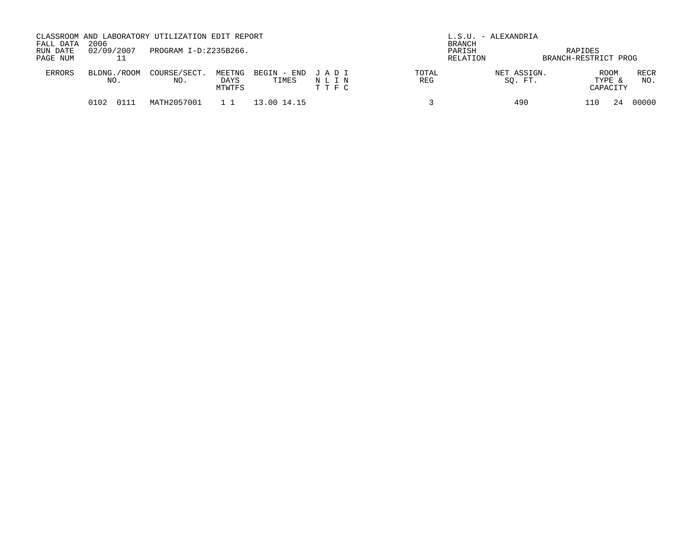| FALL DATA<br>RUN DATE<br>PAGE NUM | 2006<br>02/09/2007 | CLASSROOM AND LABORATORY UTILIZATION EDIT REPORT<br>PROGRAM I-D:Z235B266. |                          |                      |                         |                     | L.S.U. - ALEXANDRIA<br><b>BRANCH</b><br>PARISH<br>RELATION | RAPIDES<br>BRANCH-RESTRICT PROG   |             |
|-----------------------------------|--------------------|---------------------------------------------------------------------------|--------------------------|----------------------|-------------------------|---------------------|------------------------------------------------------------|-----------------------------------|-------------|
| <b>ERRORS</b>                     | BLDNG./ROOM<br>NO. | COURSE/SECT.<br>NO.                                                       | MEETNG<br>DAYS<br>MTWTFS | BEGIN - END<br>TIMES | JADI<br>NLIN<br>T T F C | TOTAL<br><b>REG</b> | NET ASSIGN.<br>SO. FT.                                     | <b>ROOM</b><br>TYPE &<br>CAPACITY | RECR<br>NO. |
|                                   | 0102               | MATH2057001                                                               |                          | 13.00 14.15          |                         |                     | 490                                                        |                                   | 00000       |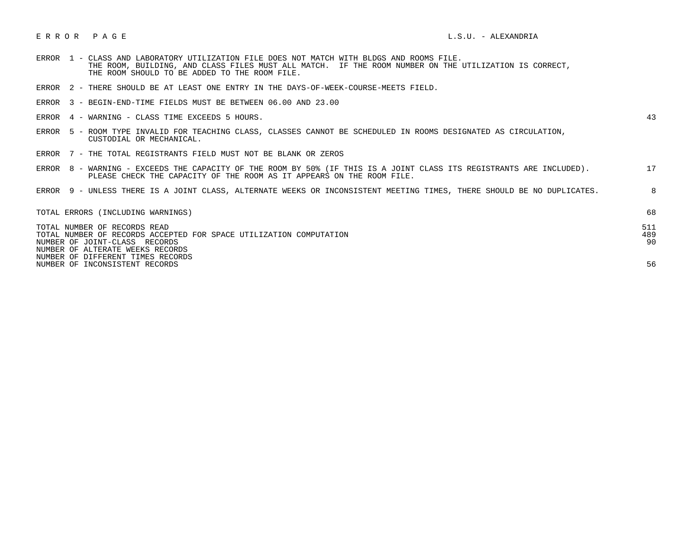## E R R O R P A G E L.S.U. - ALEXANDRIA

- ERROR 1 CLASS AND LABORATORY UTILIZATION FILE DOES NOT MATCH WITH BLDGS AND ROOMS FILE. THE ROOM, BUILDING, AND CLASS FILES MUST ALL MATCH. IF THE ROOM NUMBER ON THE UTILIZATION IS CORRECT, THE ROOM SHOULD TO BE ADDED TO THE ROOM FILE.
- ERROR 2 THERE SHOULD BE AT LEAST ONE ENTRY IN THE DAYS-OF-WEEK-COURSE-MEETS FIELD.
- ERROR 3 BEGIN-END-TIME FIELDS MUST BE BETWEEN 06.00 AND 23.00
- ERROR 4 WARNING CLASS TIME EXCEEDS 5 HOURS. 43

- ERROR 5 ROOM TYPE INVALID FOR TEACHING CLASS, CLASSES CANNOT BE SCHEDULED IN ROOMS DESIGNATED AS CIRCULATION, CUSTODIAL OR MECHANICAL.
- ERROR 7 THE TOTAL REGISTRANTS FIELD MUST NOT BE BLANK OR ZEROS

| ERROR 8 | - WARNING - EXCEEDS THE CAPACITY OF THE ROOM BY 50% (IF THIS IS A JOINT CLASS ITS REGISTRANTS ARE INCLUDED).           |  |
|---------|------------------------------------------------------------------------------------------------------------------------|--|
|         | PLEASE CHECK THE CAPACITY OF THE ROOM AS IT APPEARS ON THE ROOM FILE.                                                  |  |
|         |                                                                                                                        |  |
|         | ERROR 9 - UNLESS THERE IS A JOINT CLASS, ALTERNATE WEEKS OR INCONSISTENT MEETING TIMES, THERE SHOULD BE NO DUPLICATES. |  |

| TOTAL ERRORS (INCLUDING WARNINGS)                                                                                                   | 68               |
|-------------------------------------------------------------------------------------------------------------------------------------|------------------|
| TOTAL NUMBER OF RECORDS READ<br>TOTAL NUMBER OF RECORDS ACCEPTED FOR SPACE UTILIZATION COMPUTATION<br>NUMBER OF JOINT-CLASS RECORDS | 511<br>489<br>90 |
| NUMBER OF ALTERATE WEEKS RECORDS                                                                                                    |                  |
| NUMBER OF DIFFERENT TIMES RECORDS                                                                                                   |                  |
| NUMBER OF INCONSISTENT RECORDS                                                                                                      |                  |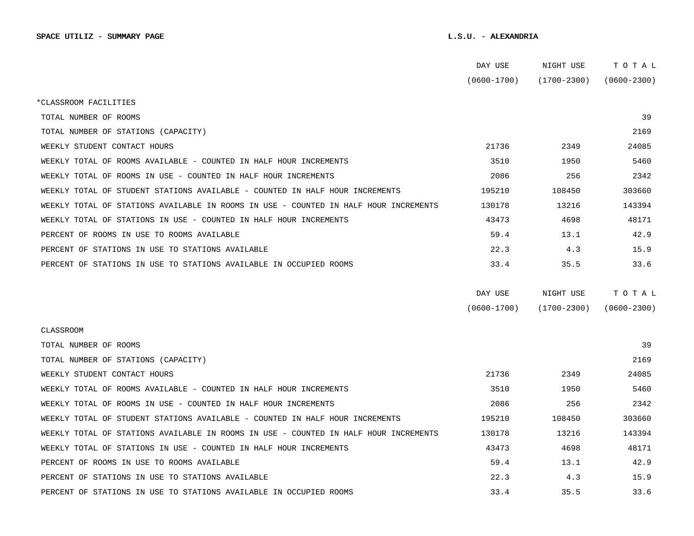|                                                                                      | DAY USE         | NIGHT USE       | тотаь           |
|--------------------------------------------------------------------------------------|-----------------|-----------------|-----------------|
|                                                                                      | $(0600 - 1700)$ | $(1700 - 2300)$ | $(0600 - 2300)$ |
| *CLASSROOM FACILITIES                                                                |                 |                 |                 |
| TOTAL NUMBER OF ROOMS                                                                |                 |                 | 39              |
| TOTAL NUMBER OF STATIONS (CAPACITY)                                                  |                 |                 | 2169            |
| WEEKLY STUDENT CONTACT HOURS                                                         | 21736           | 2349            | 24085           |
| WEEKLY TOTAL OF ROOMS AVAILABLE - COUNTED IN HALF HOUR INCREMENTS                    | 3510            | 1950            | 5460            |
| WEEKLY TOTAL OF ROOMS IN USE - COUNTED IN HALF HOUR INCREMENTS                       | 2086            | 256             | 2342            |
| WEEKLY TOTAL OF STUDENT STATIONS AVAILABLE - COUNTED IN HALF HOUR INCREMENTS         | 195210          | 108450          | 303660          |
| WEEKLY TOTAL OF STATIONS AVAILABLE IN ROOMS IN USE - COUNTED IN HALF HOUR INCREMENTS | 130178          | 13216           | 143394          |
| WEEKLY TOTAL OF STATIONS IN USE - COUNTED IN HALF HOUR INCREMENTS                    | 43473           | 4698            | 48171           |
| PERCENT OF ROOMS IN USE TO ROOMS AVAILABLE                                           | 59.4            | 13.1            | 42.9            |
| PERCENT OF STATIONS IN USE TO STATIONS AVAILABLE                                     | 22.3            | 4.3             | 15.9            |
| PERCENT OF STATIONS IN USE TO STATIONS AVAILABLE IN OCCUPIED ROOMS                   | 33.4            | 35.5            | 33.6            |
|                                                                                      | DAY USE         | NIGHT USE       | TOTAL           |
|                                                                                      | $(0600 - 1700)$ | $(1700 - 2300)$ | $(0600 - 2300)$ |
| CLASSROOM                                                                            |                 |                 |                 |
| TOTAL NUMBER OF ROOMS                                                                |                 |                 | 39              |
| TOTAL NUMBER OF STATIONS (CAPACITY)                                                  |                 |                 | 2169            |
| WEEKLY STUDENT CONTACT HOURS                                                         | 21736           | 2349            | 24085           |
| WEEKLY TOTAL OF ROOMS AVAILABLE - COUNTED IN HALF HOUR INCREMENTS                    | 3510            | 1950            | 5460            |
| WEEKLY TOTAL OF ROOMS IN USE - COUNTED IN HALF HOUR INCREMENTS                       | 2086            | 256             | 2342            |
| WEEKLY TOTAL OF STUDENT STATIONS AVAILABLE - COUNTED IN HALF HOUR INCREMENTS         | 195210          | 108450          | 303660          |
| WEEKLY TOTAL OF STATIONS AVAILABLE IN ROOMS IN USE - COUNTED IN HALF HOUR INCREMENTS | 130178          | 13216           | 143394          |
| WEEKLY TOTAL OF STATIONS IN USE - COUNTED IN HALF HOUR INCREMENTS                    | 43473           | 4698            | 48171           |
| PERCENT OF ROOMS IN USE TO ROOMS AVAILABLE                                           | 59.4            | 13.1            | 42.9            |
| PERCENT OF STATIONS IN USE TO STATIONS AVAILABLE                                     | 22.3            | 4.3             | 15.9            |
| PERCENT OF STATIONS IN USE TO STATIONS AVAILABLE IN OCCUPIED ROOMS                   | 33.4            | 35.5            | 33.6            |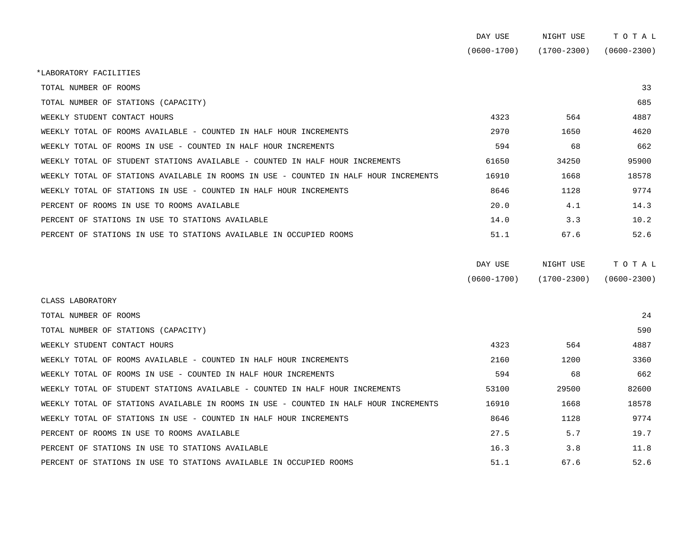|                                                                                      | DAY USE         | NIGHT USE       | ТОТАЬ           |
|--------------------------------------------------------------------------------------|-----------------|-----------------|-----------------|
|                                                                                      | $(0600 - 1700)$ | $(1700 - 2300)$ | $(0600 - 2300)$ |
| *LABORATORY FACILITIES                                                               |                 |                 |                 |
| TOTAL NUMBER OF ROOMS                                                                |                 |                 | 33              |
| TOTAL NUMBER OF STATIONS (CAPACITY)                                                  |                 |                 | 685             |
| WEEKLY STUDENT CONTACT HOURS                                                         | 4323            | 564             | 4887            |
| WEEKLY TOTAL OF ROOMS AVAILABLE - COUNTED IN HALF HOUR INCREMENTS                    | 2970            | 1650            | 4620            |
| WEEKLY TOTAL OF ROOMS IN USE - COUNTED IN HALF HOUR INCREMENTS                       | 594             | 68              | 662             |
| WEEKLY TOTAL OF STUDENT STATIONS AVAILABLE - COUNTED IN HALF HOUR INCREMENTS         | 61650           | 34250           | 95900           |
| WEEKLY TOTAL OF STATIONS AVAILABLE IN ROOMS IN USE - COUNTED IN HALF HOUR INCREMENTS | 16910           | 1668            | 18578           |
| WEEKLY TOTAL OF STATIONS IN USE - COUNTED IN HALF HOUR INCREMENTS                    | 8646            | 1128            | 9774            |
| PERCENT OF ROOMS IN USE TO ROOMS AVAILABLE                                           | 20.0            | 4.1             | 14.3            |
| PERCENT OF STATIONS IN USE TO STATIONS AVAILABLE                                     | 14.0            | 3.3             | 10.2            |
| PERCENT OF STATIONS IN USE TO STATIONS AVAILABLE IN OCCUPIED ROOMS                   | 51.1            | 67.6            | 52.6            |
|                                                                                      | DAY USE         | NIGHT USE       | TOTAL           |
|                                                                                      | $(0600 - 1700)$ | $(1700 - 2300)$ | $(0600 - 2300)$ |
| CLASS LABORATORY                                                                     |                 |                 |                 |
| TOTAL NUMBER OF ROOMS                                                                |                 |                 | 24              |
| TOTAL NUMBER OF STATIONS (CAPACITY)                                                  |                 |                 | 590             |
| WEEKLY STUDENT CONTACT HOURS                                                         | 4323            | 564             | 4887            |
| WEEKLY TOTAL OF ROOMS AVAILABLE - COUNTED IN HALF HOUR INCREMENTS                    | 2160            | 1200            | 3360            |
| WEEKLY TOTAL OF ROOMS IN USE - COUNTED IN HALF HOUR INCREMENTS                       | 594             | 68              | 662             |
| WEEKLY TOTAL OF STUDENT STATIONS AVAILABLE - COUNTED IN HALF HOUR INCREMENTS         | 53100           | 29500           | 82600           |
| WEEKLY TOTAL OF STATIONS AVAILABLE IN ROOMS IN USE - COUNTED IN HALF HOUR INCREMENTS | 16910           | 1668            | 18578           |
| WEEKLY TOTAL OF STATIONS IN USE - COUNTED IN HALF HOUR INCREMENTS                    | 8646            | 1128            | 9774            |
| PERCENT OF ROOMS IN USE TO ROOMS AVAILABLE                                           | 27.5            | 5.7             | 19.7            |
| PERCENT OF STATIONS IN USE TO STATIONS AVAILABLE                                     | 16.3            | 3.8             | 11.8            |
| PERCENT OF STATIONS IN USE TO STATIONS AVAILABLE IN OCCUPIED ROOMS                   | 51.1            | 67.6            | 52.6            |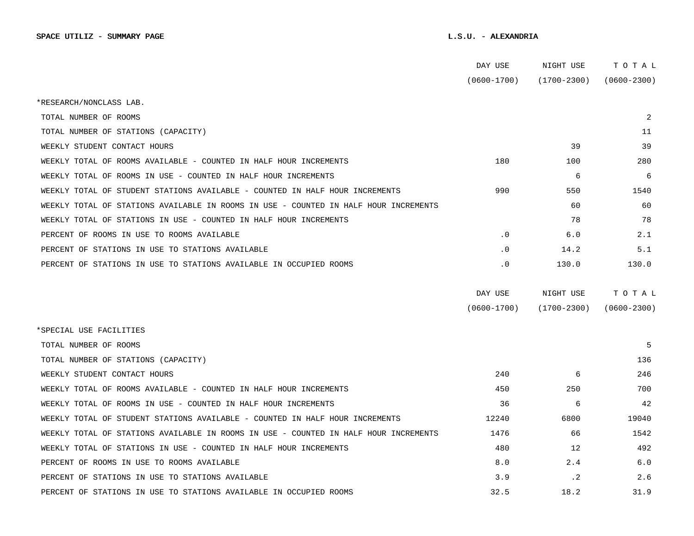|                                                                                      | DAY USE         | NIGHT USE       | TOTAL           |  |
|--------------------------------------------------------------------------------------|-----------------|-----------------|-----------------|--|
|                                                                                      | $(0600 - 1700)$ | $(1700 - 2300)$ | $(0600 - 2300)$ |  |
| *RESEARCH/NONCLASS LAB.                                                              |                 |                 |                 |  |
| TOTAL NUMBER OF ROOMS                                                                |                 |                 | $\overline{2}$  |  |
| TOTAL NUMBER OF STATIONS (CAPACITY)                                                  |                 |                 | 11              |  |
| WEEKLY STUDENT CONTACT HOURS                                                         |                 | 39              | 39              |  |
| WEEKLY TOTAL OF ROOMS AVAILABLE - COUNTED IN HALF HOUR INCREMENTS                    | 180             | 100             | 280             |  |
| WEEKLY TOTAL OF ROOMS IN USE - COUNTED IN HALF HOUR INCREMENTS                       |                 | 6               | 6               |  |
| WEEKLY TOTAL OF STUDENT STATIONS AVAILABLE - COUNTED IN HALF HOUR INCREMENTS         | 990             | 550             | 1540            |  |
| WEEKLY TOTAL OF STATIONS AVAILABLE IN ROOMS IN USE - COUNTED IN HALF HOUR INCREMENTS |                 | 60              | 60              |  |
| WEEKLY TOTAL OF STATIONS IN USE - COUNTED IN HALF HOUR INCREMENTS                    |                 | 78              | 78              |  |
| PERCENT OF ROOMS IN USE TO ROOMS AVAILABLE                                           | $\cdot$ 0       | 6.0             | 2.1             |  |
| PERCENT OF STATIONS IN USE TO STATIONS AVAILABLE                                     | $\cdot$ 0       | 14.2            | 5.1             |  |
| PERCENT OF STATIONS IN USE TO STATIONS AVAILABLE IN OCCUPIED ROOMS                   | $\cdot$ 0       | 130.0           | 130.0           |  |
|                                                                                      |                 |                 |                 |  |
|                                                                                      | DAY USE         | NIGHT USE       | TOTAL           |  |
|                                                                                      | $(0600 - 1700)$ | $(1700 - 2300)$ | $(0600 - 2300)$ |  |
| *SPECIAL USE FACILITIES                                                              |                 |                 |                 |  |
| TOTAL NUMBER OF ROOMS                                                                |                 |                 | 5               |  |
| TOTAL NUMBER OF STATIONS (CAPACITY)                                                  |                 |                 | 136             |  |
| WEEKLY STUDENT CONTACT HOURS                                                         | 240             | 6               | 246             |  |
| WEEKLY TOTAL OF ROOMS AVAILABLE - COUNTED IN HALF HOUR INCREMENTS                    | 450             | 250             | 700             |  |
| WEEKLY TOTAL OF ROOMS IN USE - COUNTED IN HALF HOUR INCREMENTS                       | 36              | 6               | 42              |  |
| WEEKLY TOTAL OF STUDENT STATIONS AVAILABLE - COUNTED IN HALF HOUR INCREMENTS         | 12240           | 6800            | 19040           |  |
| WEEKLY TOTAL OF STATIONS AVAILABLE IN ROOMS IN USE - COUNTED IN HALF HOUR INCREMENTS | 1476            | 66              | 1542            |  |
| WEEKLY TOTAL OF STATIONS IN USE - COUNTED IN HALF HOUR INCREMENTS                    | 480             | 12              | 492             |  |
| PERCENT OF ROOMS IN USE TO ROOMS AVAILABLE                                           | 8.0             | 2.4             | 6.0             |  |
| PERCENT OF STATIONS IN USE TO STATIONS AVAILABLE                                     | 3.9             | $\cdot$ 2       | 2.6             |  |
| PERCENT OF STATIONS IN USE TO STATIONS AVAILABLE IN OCCUPIED ROOMS                   | 32.5            | 18.2            | 31.9            |  |